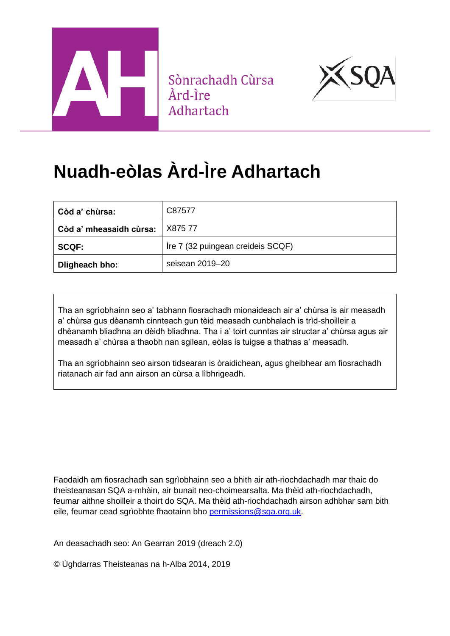

Sònrachadh Cùrsa Àrd-Ìre Adhartach



# **Nuadh-eòlas Àrd-Ìre Adhartach**

| Còd a' chùrsa:          | C87577                            |  |
|-------------------------|-----------------------------------|--|
| Còd a' mheasaidh cùrsa: | X875 77                           |  |
| <b>SCQF:</b>            | Ire 7 (32 puingean creideis SCQF) |  |
| Dligheach bho:          | seisean 2019-20                   |  |

Tha an sgrìobhainn seo a' tabhann fiosrachadh mionaideach air a' chùrsa is air measadh a' chùrsa gus dèanamh cinnteach gun tèid measadh cunbhalach is trìd-shoilleir a dhèanamh bliadhna an dèidh bliadhna. Tha i a' toirt cunntas air structar a' chùrsa agus air measadh a' chùrsa a thaobh nan sgilean, eòlas is tuigse a thathas a' measadh.

Tha an sgrìobhainn seo airson tidsearan is òraidichean, agus gheibhear am fiosrachadh riatanach air fad ann airson an cùrsa a lìbhrigeadh.

Faodaidh am fiosrachadh san sgrìobhainn seo a bhith air ath-riochdachadh mar thaic do theisteanasan SQA a-mhàin, air bunait neo-choimearsalta. Ma thèid ath-riochdachadh, feumar aithne shoilleir a thoirt do SQA. Ma thèid ath-riochdachadh airson adhbhar sam bith eile, feumar cead sgrìobhte fhaotainn bho [permissions@sqa.org.uk.](mailto:permissions@sqa.org.uk)

An deasachadh seo: An Gearran 2019 (dreach 2.0)

© Ùghdarras Theisteanas na h-Alba 2014, 2019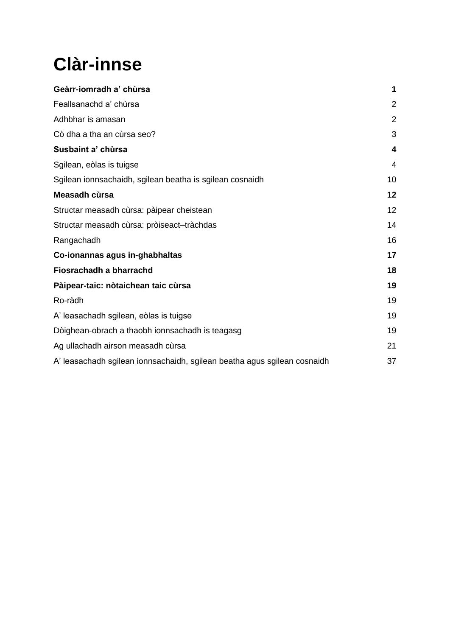# **Clàr-innse**

| Geàrr-iomradh a' chùrsa                                                  | 1              |
|--------------------------------------------------------------------------|----------------|
| Feallsanachd a' chùrsa                                                   | $\overline{2}$ |
| Adhbhar is amasan                                                        | $\overline{2}$ |
| Cò dha a tha an cùrsa seo?                                               | 3              |
| Susbaint a' chùrsa                                                       | 4              |
| Sgilean, eòlas is tuigse                                                 | 4              |
| Sgilean ionnsachaidh, sgilean beatha is sgilean cosnaidh                 | 10             |
| Measadh cùrsa                                                            | 12             |
| Structar measadh cùrsa: pàipear cheistean                                | 12             |
| Structar measadh cùrsa: pròiseact-tràchdas                               | 14             |
| Rangachadh                                                               | 16             |
| Co-ionannas agus in-ghabhaltas                                           | 17             |
| Fiosrachadh a bharrachd                                                  | 18             |
| Pàipear-taic: nòtaichean taic cùrsa                                      | 19             |
| Ro-ràdh                                                                  | 19             |
| A' leasachadh sgilean, eòlas is tuigse                                   | 19             |
| Dòighean-obrach a thaobh ionnsachadh is teagasg                          | 19             |
| Ag ullachadh airson measadh cùrsa                                        | 21             |
| A' leasachadh sgilean ionnsachaidh, sgilean beatha agus sgilean cosnaidh | 37             |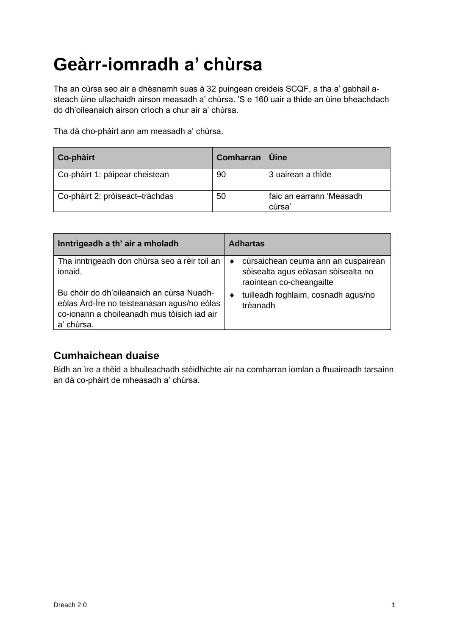# <span id="page-2-0"></span>**Geàrr-iomradh a' chùrsa**

Tha an cùrsa seo air a dhèanamh suas à 32 puingean creideis SCQF, a tha a' gabhail asteach ùine ullachaidh airson measadh a' chùrsa. 'S e 160 uair a thìde an ùine bheachdach do dh'oileanaich airson crìoch a chur air a' chùrsa.

Tha dà cho-phàirt ann am measadh a' chùrsa.

| Co-phàirt                       | <b>Comharran</b> | <b>Uine</b>                       |
|---------------------------------|------------------|-----------------------------------|
| Co-phàirt 1: pàipear cheistean  | 90               | 3 uairean a thìde                 |
| Co-phàirt 2: pròiseact-tràchdas | 50               | faic an earrann 'Measadh<br>cùrsa |

| Inntrigeadh a th' air a mholadh                                                                                                                       | <b>Adhartas</b>                                                                                                     |
|-------------------------------------------------------------------------------------------------------------------------------------------------------|---------------------------------------------------------------------------------------------------------------------|
| Tha inntrigeadh don chùrsa seo a rèir toil an<br>ionaid.                                                                                              | cùrsaichean ceuma ann an cuspairean<br>$\bullet$<br>sòisealta agus eòlasan sòisealta no<br>raointean co-cheangailte |
| Bu chòir do dh'oileanaich an cùrsa Nuadh-<br>eòlas Àrd-Ìre no teisteanasan agus/no eòlas<br>co-ionann a choileanadh mus tòisich iad air<br>a' chùrsa. | tuilleadh foghlaim, cosnadh agus/no<br>٠<br>trèanadh                                                                |

## **Cumhaichean duaise**

Bidh an ìre a thèid a bhuileachadh stèidhichte air na comharran iomlan a fhuaireadh tarsainn an dà co-phàirt de mheasadh a' chùrsa.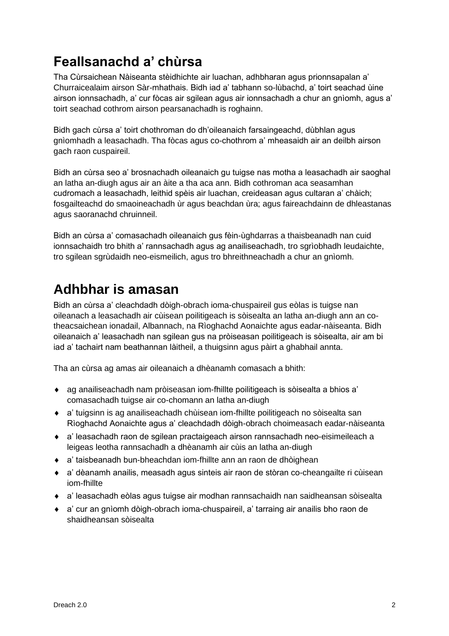## <span id="page-3-0"></span>**Feallsanachd a' chùrsa**

Tha Cùrsaichean Nàiseanta stèidhichte air luachan, adhbharan agus prionnsapalan a' Churraicealaim airson Sàr-mhathais. Bidh iad a' tabhann so-lùbachd, a' toirt seachad ùine airson ionnsachadh, a' cur fòcas air sgilean agus air ionnsachadh a chur an gnìomh, agus a' toirt seachad cothrom airson pearsanachadh is roghainn.

Bidh gach cùrsa a' toirt chothroman do dh'oileanaich farsaingeachd, dùbhlan agus gnìomhadh a leasachadh. Tha fòcas agus co-chothrom a' mheasaidh air an deilbh airson gach raon cuspaireil.

Bidh an cùrsa seo a' brosnachadh oileanaich gu tuigse nas motha a leasachadh air saoghal an latha an-diugh agus air an àite a tha aca ann. Bidh cothroman aca seasamhan cudromach a leasachadh, leithid spèis air luachan, creideasan agus cultaran a' chàich; fosgailteachd do smaoineachadh ùr agus beachdan ùra; agus faireachdainn de dhleastanas agus saoranachd chruinneil.

Bidh an cùrsa a' comasachadh oileanaich gus fèin-ùghdarras a thaisbeanadh nan cuid ionnsachaidh tro bhith a' rannsachadh agus ag anailiseachadh, tro sgrìobhadh leudaichte, tro sgilean sgrùdaidh neo-eismeilich, agus tro bhreithneachadh a chur an gnìomh.

# <span id="page-3-1"></span>**Adhbhar is amasan**

Bidh an cùrsa a' cleachdadh dòigh-obrach ioma-chuspaireil gus eòlas is tuigse nan oileanach a leasachadh air cùisean poilitigeach is sòisealta an latha an-diugh ann an cotheacsaichean ionadail, Albannach, na Rìoghachd Aonaichte agus eadar-nàiseanta. Bidh oileanaich a' leasachadh nan sgilean gus na pròiseasan poilitigeach is sòisealta, air am bi iad a' tachairt nam beathannan làitheil, a thuigsinn agus pàirt a ghabhail annta.

Tha an cùrsa ag amas air oileanaich a dhèanamh comasach a bhith:

- ag anailiseachadh nam pròiseasan iom-fhillte poilitigeach is sòisealta a bhios a' comasachadh tuigse air co-chomann an latha an-diugh
- a' tuigsinn is ag anailiseachadh chùisean iom-fhillte poilitigeach no sòisealta san Rìoghachd Aonaichte agus a' cleachdadh dòigh-obrach choimeasach eadar-nàiseanta
- ◆ a' leasachadh raon de sgilean practaigeach airson rannsachadh neo-eisimeileach a leigeas leotha rannsachadh a dhèanamh air cùis an latha an-diugh
- a' taisbeanadh bun-bheachdan iom-fhillte ann an raon de dhòighean
- a' dèanamh anailis, measadh agus sinteis air raon de stòran co-cheangailte ri cùisean iom-fhillte
- a' leasachadh eòlas agus tuigse air modhan rannsachaidh nan saidheansan sòisealta
- a' cur an gnìomh dòigh-obrach ioma-chuspaireil, a' tarraing air anailis bho raon de shaidheansan sòisealta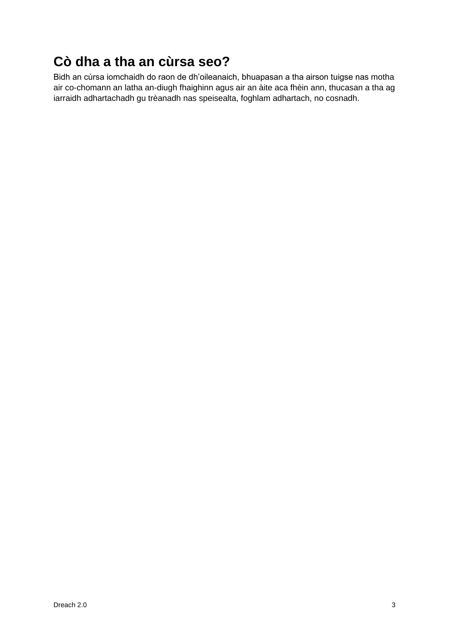# <span id="page-4-0"></span>**Cò dha a tha an cùrsa seo?**

Bidh an cùrsa iomchaidh do raon de dh'oileanaich, bhuapasan a tha airson tuigse nas motha air co-chomann an latha an-diugh fhaighinn agus air an àite aca fhèin ann, thucasan a tha ag iarraidh adhartachadh gu trèanadh nas speisealta, foghlam adhartach, no cosnadh.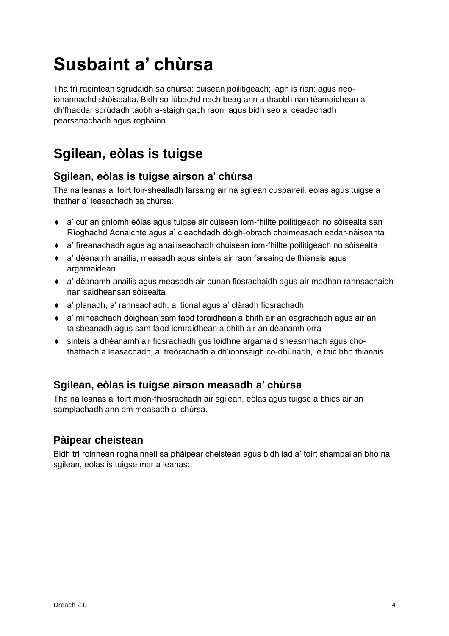# <span id="page-5-0"></span>**Susbaint a' chùrsa**

Tha trì raointean sgrùdaidh sa chùrsa: cùisean poilitigeach; lagh is rian; agus neoionannachd shòisealta. Bidh so-lùbachd nach beag ann a thaobh nan tèamaichean a dh'fhaodar sgrùdadh taobh a-staigh gach raon, agus bidh seo a' ceadachadh pearsanachadh agus roghainn.

## <span id="page-5-1"></span>**Sgilean, eòlas is tuigse**

## **Sgilean, eòlas is tuigse airson a' chùrsa**

Tha na leanas a' toirt foir-shealladh farsaing air na sgilean cuspaireil, eòlas agus tuigse a thathar a' leasachadh sa chùrsa:

- a' cur an gnìomh eòlas agus tuigse air cùisean iom-fhillte poilitigeach no sòisealta san Rìoghachd Aonaichte agus a' cleachdadh dòigh-obrach choimeasach eadar-nàiseanta
- a' fìreanachadh agus ag anailiseachadh chùisean iom-fhillte poilitigeach no sòisealta
- a' dèanamh anailis, measadh agus sinteis air raon farsaing de fhianais agus argamaidean
- a' dèanamh anailis agus measadh air bunan fiosrachaidh agus air modhan rannsachaidh nan saidheansan sòisealta
- a' planadh, a' rannsachadh, a' tional agus a' clàradh fiosrachadh
- a' mìneachadh dòighean sam faod toraidhean a bhith air an eagrachadh agus air an taisbeanadh agus sam faod iomraidhean a bhith air an dèanamh orra
- sinteis a dhèanamh air fiosrachadh gus loidhne argamaid sheasmhach agus chothàthach a leasachadh, a' treòrachadh a dh'ionnsaigh co-dhùnadh, le taic bho fhianais

## **Sgilean, eòlas is tuigse airson measadh a' chùrsa**

Tha na leanas a' toirt mion-fhiosrachadh air sgilean, eòlas agus tuigse a bhios air an samplachadh ann am measadh a' chùrsa.

## **Pàipear cheistean**

Bidh trì roinnean roghainneil sa phàipear cheistean agus bidh iad a' toirt shampallan bho na sgilean, eòlas is tuigse mar a leanas: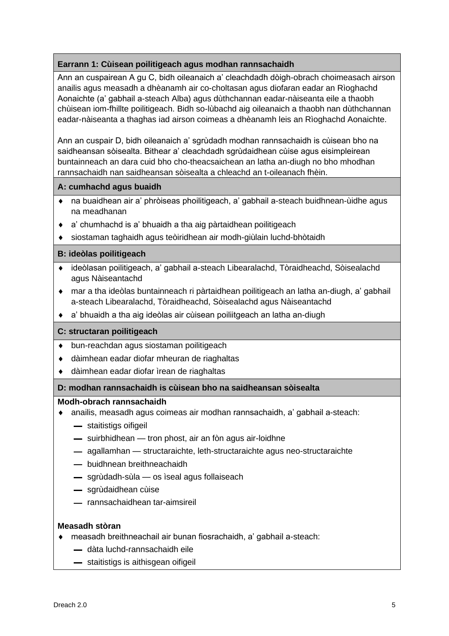## **Earrann 1: Cùisean poilitigeach agus modhan rannsachaidh**

Ann an cuspairean A gu C, bidh oileanaich a' cleachdadh dòigh-obrach choimeasach airson anailis agus measadh a dhèanamh air co-choltasan agus diofaran eadar an Rìoghachd Aonaichte (a' gabhail a-steach Alba) agus dùthchannan eadar-nàiseanta eile a thaobh chùisean iom-fhillte poilitigeach. Bidh so-lùbachd aig oileanaich a thaobh nan dùthchannan eadar-nàiseanta a thaghas iad airson coimeas a dhèanamh leis an Rìoghachd Aonaichte.

Ann an cuspair D, bidh oileanaich a' sgrùdadh modhan rannsachaidh is cùisean bho na saidheansan sòisealta. Bithear a' cleachdadh sgrùdaidhean cùise agus eisimpleirean buntainneach an dara cuid bho cho-theacsaichean an latha an-diugh no bho mhodhan rannsachaidh nan saidheansan sòisealta a chleachd an t-oileanach fhèin.

## **A: cumhachd agus buaidh**

- na buaidhean air a' phròiseas phoilitigeach, a' gabhail a-steach buidhnean-ùidhe agus na meadhanan
- a' chumhachd is a' bhuaidh a tha aig pàrtaidhean poilitigeach
- siostaman taghaidh agus teòiridhean air modh-giùlain luchd-bhòtaidh

## **B: ideòlas poilitigeach**

- ideòlasan poilitigeach, a' gabhail a-steach Libearalachd, Tòraidheachd, Sòisealachd agus Nàiseantachd
- mar a tha ideòlas buntainneach ri pàrtaidhean poilitigeach an latha an-diugh, a' gabhail a-steach Libearalachd, Tòraidheachd, Sòisealachd agus Nàiseantachd
- a' bhuaidh a tha aig ideòlas air cùisean poiliitgeach an latha an-diugh

### **C: structaran poilitigeach**

- bun-reachdan agus siostaman poilitigeach
- dàimhean eadar diofar mheuran de riaghaltas
- dàimhean eadar diofar ìrean de riaghaltas

### **D: modhan rannsachaidh is cùisean bho na saidheansan sòisealta**

### **Modh-obrach rannsachaidh**

- anailis, measadh agus coimeas air modhan rannsachaidh, a' gabhail a-steach:
	- staitistigs oifigeil
	- suirbhidhean tron phost, air an fòn agus air-loidhne
	- agallamhan structaraichte, leth-structaraichte agus neo-structaraichte
	- buidhnean breithneachaidh
	- sgrùdadh-sùla os ìseal agus follaiseach
	- sgrùdaidhean cùise
	- rannsachaidhean tar-aimsireil

### **Measadh stòran**

- measadh breithneachail air bunan fiosrachaidh, a' gabhail a-steach:
	- dàta luchd-rannsachaidh eile
	- staitistigs is aithisgean oifigeil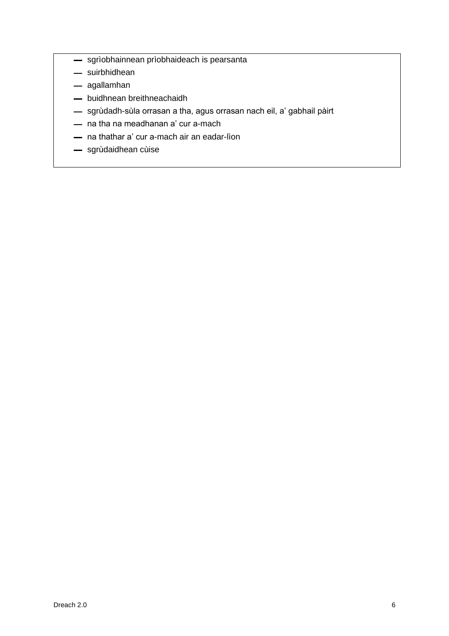- sgrìobhainnean prìobhaideach is pearsanta
- suirbhidhean
- agallamhan
- buidhnean breithneachaidh
- sgrùdadh-sùla orrasan a tha, agus orrasan nach eil, a' gabhail pàirt
- na tha na meadhanan a' cur a-mach
- na thathar a' cur a-mach air an eadar-lìon
- sgrùdaidhean cùise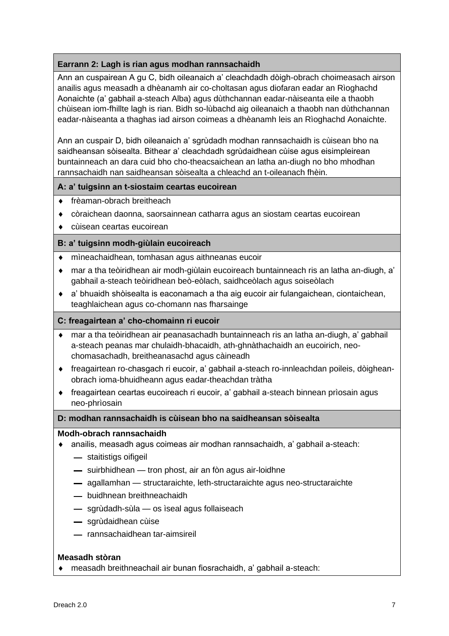## **Earrann 2: Lagh is rian agus modhan rannsachaidh**

Ann an cuspairean A gu C, bidh oileanaich a' cleachdadh dòigh-obrach choimeasach airson anailis agus measadh a dhèanamh air co-choltasan agus diofaran eadar an Rìoghachd Aonaichte (a' gabhail a-steach Alba) agus dùthchannan eadar-nàiseanta eile a thaobh chùisean iom-fhillte lagh is rian. Bidh so-lùbachd aig oileanaich a thaobh nan dùthchannan eadar-nàiseanta a thaghas iad airson coimeas a dhèanamh leis an Rìoghachd Aonaichte.

Ann an cuspair D, bidh oileanaich a' sgrùdadh modhan rannsachaidh is cùisean bho na saidheansan sòisealta. Bithear a' cleachdadh sgrùdaidhean cùise agus eisimpleirean buntainneach an dara cuid bho cho-theacsaichean an latha an-diugh no bho mhodhan rannsachaidh nan saidheansan sòisealta a chleachd an t-oileanach fhèin.

### **A: a' tuigsinn an t-siostaim ceartas eucoirean**

- ◆ frèaman-obrach breitheach
- còraichean daonna, saorsainnean catharra agus an siostam ceartas eucoirean
- cùisean ceartas eucoirean

## **B: a' tuigsinn modh-giùlain eucoireach**

- mìneachaidhean, tomhasan agus aithneanas eucoir
- mar a tha teòiridhean air modh-giùlain eucoireach buntainneach ris an latha an-diugh, a' gabhail a-steach teòiridhean beò-eòlach, saidhceòlach agus soiseòlach
- a' bhuaidh shòisealta is eaconamach a tha aig eucoir air fulangaichean, ciontaichean, teaghlaichean agus co-chomann nas fharsainge

### **C: freagairtean a' cho-chomainn ri eucoir**

- mar a tha teòiridhean air peanasachadh buntainneach ris an latha an-diugh, a' gabhail a-steach peanas mar chulaidh-bhacaidh, ath-ghnàthachaidh an eucoirich, neochomasachadh, breitheanasachd agus càineadh
- freagairtean ro-chasgach ri eucoir, a' gabhail a-steach ro-innleachdan poileis, dòigheanobrach ioma-bhuidheann agus eadar-theachdan tràtha
- freagairtean ceartas eucoireach ri eucoir, a' gabhail a-steach binnean prìosain agus neo-phrìosain

### **D: modhan rannsachaidh is cùisean bho na saidheansan sòisealta**

### **Modh-obrach rannsachaidh**

- anailis, measadh agus coimeas air modhan rannsachaidh, a' gabhail a-steach:
	- staitistigs oifigeil
	- suirbhidhean tron phost, air an fòn agus air-loidhne
	- agallamhan structaraichte, leth-structaraichte agus neo-structaraichte
	- buidhnean breithneachaidh
	- sgrùdadh-sùla os ìseal agus follaiseach
	- sgrùdaidhean cùise
	- rannsachaidhean tar-aimsireil

### **Measadh stòran**

measadh breithneachail air bunan fiosrachaidh, a' gabhail a-steach: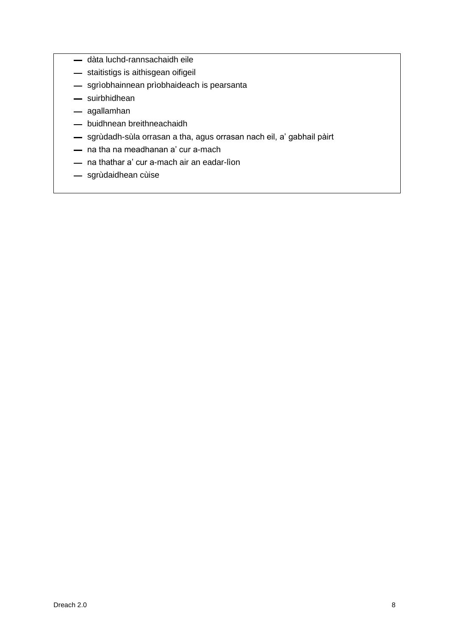- dàta luchd-rannsachaidh eile
- staitistigs is aithisgean oifigeil
- sgrìobhainnean prìobhaideach is pearsanta
- suirbhidhean
- agallamhan
- buidhnean breithneachaidh
- sgrùdadh-sùla orrasan a tha, agus orrasan nach eil, a' gabhail pàirt
- na tha na meadhanan a' cur a-mach
- na thathar a' cur a-mach air an eadar-lìon
- sgrùdaidhean cùise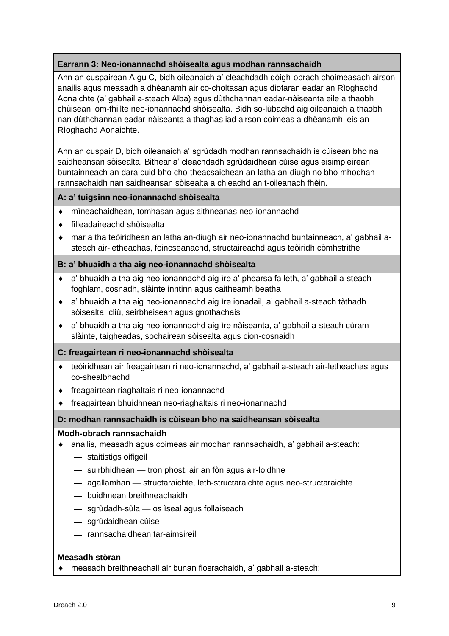## **Earrann 3: Neo-ionannachd shòisealta agus modhan rannsachaidh**

Ann an cuspairean A gu C, bidh oileanaich a' cleachdadh dòigh-obrach choimeasach airson anailis agus measadh a dhèanamh air co-choltasan agus diofaran eadar an Rìoghachd Aonaichte (a' gabhail a-steach Alba) agus dùthchannan eadar-nàiseanta eile a thaobh chùisean iom-fhillte neo-ionannachd shòisealta. Bidh so-lùbachd aig oileanaich a thaobh nan dùthchannan eadar-nàiseanta a thaghas iad airson coimeas a dhèanamh leis an Rìoghachd Aonaichte.

Ann an cuspair D, bidh oileanaich a' sgrùdadh modhan rannsachaidh is cùisean bho na saidheansan sòisealta. Bithear a' cleachdadh sgrùdaidhean cùise agus eisimpleirean buntainneach an dara cuid bho cho-theacsaichean an latha an-diugh no bho mhodhan rannsachaidh nan saidheansan sòisealta a chleachd an t-oileanach fhèin.

**A: a' tuigsinn neo-ionannachd shòisealta**

- mìneachaidhean, tomhasan agus aithneanas neo-ionannachd
- filleadaireachd shòisealta
- mar a tha teòiridhean an latha an-diugh air neo-ionannachd buntainneach, a' gabhail asteach air-letheachas, foincseanachd, structaireachd agus teòiridh còmhstrithe

## **B: a' bhuaidh a tha aig neo-ionannachd shòisealta**

- a' bhuaidh a tha aig neo-ionannachd aig ìre a' phearsa fa leth, a' gabhail a-steach foghlam, cosnadh, slàinte inntinn agus caitheamh beatha
- a' bhuaidh a tha aig neo-ionannachd aig ìre ionadail, a' gabhail a-steach tàthadh sòisealta, cliù, seirbheisean agus gnothachais
- a' bhuaidh a tha aig neo-ionannachd aig ìre nàiseanta, a' gabhail a-steach cùram slàinte, taigheadas, sochairean sòisealta agus cion-cosnaidh

### **C: freagairtean ri neo-ionannachd shòisealta**

- teòiridhean air freagairtean ri neo-ionannachd, a' gabhail a-steach air-letheachas agus co-shealbhachd
- freagairtean riaghaltais ri neo-ionannachd
- freagairtean bhuidhnean neo-riaghaltais ri neo-ionannachd

### **D: modhan rannsachaidh is cùisean bho na saidheansan sòisealta**

### **Modh-obrach rannsachaidh**

- anailis, measadh agus coimeas air modhan rannsachaidh, a' gabhail a-steach:
	- staitistigs oifigeil
	- $-$  suirbhidhean  $-$  tron phost, air an fòn agus air-loidhne
	- agallamhan structaraichte, leth-structaraichte agus neo-structaraichte
	- buidhnean breithneachaidh
	- sgrùdadh-sùla os ìseal agus follaiseach
	- sgrùdaidhean cùise
	- rannsachaidhean tar-aimsireil

### **Measadh stòran**

measadh breithneachail air bunan fiosrachaidh, a' gabhail a-steach: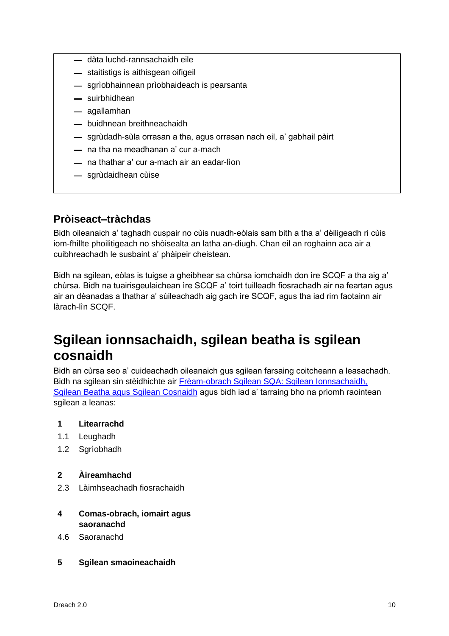- dàta luchd-rannsachaidh eile
- staitistigs is aithisgean oifigeil
- sgrìobhainnean prìobhaideach is pearsanta
- suirbhidhean
- agallamhan
- buidhnean breithneachaidh
- sgrùdadh-sùla orrasan a tha, agus orrasan nach eil, a' gabhail pàirt
- na tha na meadhanan a' cur a-mach
- na thathar a' cur a-mach air an eadar-lìon
- sgrùdaidhean cùise

## **Pròiseact–tràchdas**

Bidh oileanaich a' taghadh cuspair no cùis nuadh-eòlais sam bith a tha a' dèiligeadh ri cùis iom-fhillte phoilitigeach no shòisealta an latha an-diugh. Chan eil an roghainn aca air a cuibhreachadh le susbaint a' phàipeir cheistean.

Bidh na sgilean, eòlas is tuigse a gheibhear sa chùrsa iomchaidh don ìre SCQF a tha aig a' chùrsa. Bidh na tuairisgeulaichean ìre SCQF a' toirt tuilleadh fiosrachadh air na feartan agus air an dèanadas a thathar a' sùileachadh aig gach ìre SCQF, agus tha iad rim faotainn air làrach-lìn SCQF.

## <span id="page-11-0"></span>**Sgilean ionnsachaidh, sgilean beatha is sgilean cosnaidh**

Bidh an cùrsa seo a' cuideachadh oileanaich gus sgilean farsaing coitcheann a leasachadh. Bidh na sgilean sin stèidhichte air Frèam-obrach Sgilean SQA: Sgilean Ionnsachaidh, [Sgilean Beatha agus Sgilean Cosnaidh](http://www.sqa.org.uk/sqa/63101.html) agus bidh iad a' tarraing bho na prìomh raointean sgilean a leanas:

## **1 Litearrachd**

- 1.1 Leughadh
- 1.2 Sgrìobhadh

## **2 Àireamhachd**

2.3 Làimhseachadh fiosrachaidh

## **4 Comas-obrach, iomairt agus saoranachd**

- 4.6 Saoranachd
- **5 Sgilean smaoineachaidh**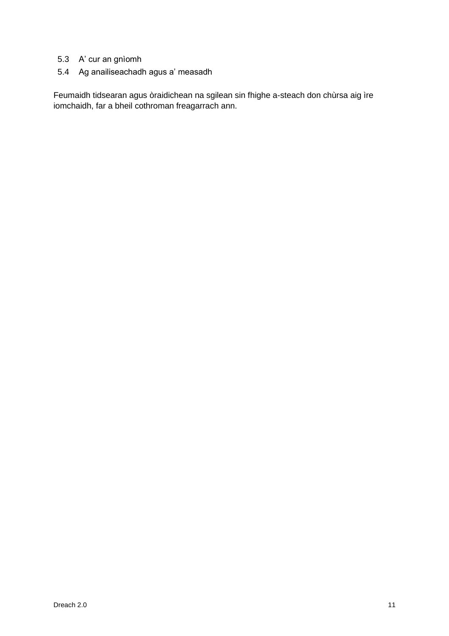- 5.3 A' cur an gnìomh
- 5.4 Ag anailiseachadh agus a' measadh

Feumaidh tidsearan agus òraidichean na sgilean sin fhighe a-steach don chùrsa aig ìre iomchaidh, far a bheil cothroman freagarrach ann.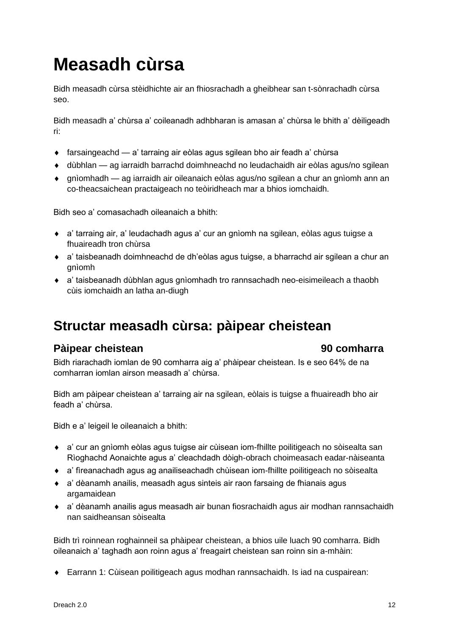# <span id="page-13-0"></span>**Measadh cùrsa**

Bidh measadh cùrsa stèidhichte air an fhiosrachadh a gheibhear san t-sònrachadh cùrsa seo.

Bidh measadh a' chùrsa a' coileanadh adhbharan is amasan a' chùrsa le bhith a' dèiligeadh ri:

- farsaingeachd a' tarraing air eòlas agus sgilean bho air feadh a' chùrsa
- dùbhlan ag iarraidh barrachd doimhneachd no leudachaidh air eòlas agus/no sgilean
- gnìomhadh ag iarraidh air oileanaich eòlas agus/no sgilean a chur an gnìomh ann an co-theacsaichean practaigeach no teòiridheach mar a bhios iomchaidh.

Bidh seo a' comasachadh oileanaich a bhith:

- a' tarraing air, a' leudachadh agus a' cur an gnìomh na sgilean, eòlas agus tuigse a fhuaireadh tron chùrsa
- a' taisbeanadh doimhneachd de dh'eòlas agus tuigse, a bharrachd air sgilean a chur an gnìomh
- a' taisbeanadh dùbhlan agus gnìomhadh tro rannsachadh neo-eisimeileach a thaobh cùis iomchaidh an latha an-diugh

## <span id="page-13-1"></span>**Structar measadh cùrsa: pàipear cheistean**

## **Pàipear cheistean 90 comharra**

Bidh riarachadh iomlan de 90 comharra aig a' phàipear cheistean. Is e seo 64% de na comharran iomlan airson measadh a' chùrsa.

Bidh am pàipear cheistean a' tarraing air na sgilean, eòlais is tuigse a fhuaireadh bho air feadh a' chùrsa.

Bidh e a' leigeil le oileanaich a bhith:

- a' cur an gnìomh eòlas agus tuigse air cùisean iom-fhillte poilitigeach no sòisealta san Rìoghachd Aonaichte agus a' cleachdadh dòigh-obrach choimeasach eadar-nàiseanta
- a' fìreanachadh agus ag anailiseachadh chùisean iom-fhillte poilitigeach no sòisealta
- a' dèanamh anailis, measadh agus sinteis air raon farsaing de fhianais agus argamaidean
- a' dèanamh anailis agus measadh air bunan fiosrachaidh agus air modhan rannsachaidh nan saidheansan sòisealta

Bidh trì roinnean roghainneil sa phàipear cheistean, a bhios uile luach 90 comharra. Bidh oileanaich a' taghadh aon roinn agus a' freagairt cheistean san roinn sin a-mhàin:

Earrann 1: Cùisean poilitigeach agus modhan rannsachaidh. Is iad na cuspairean: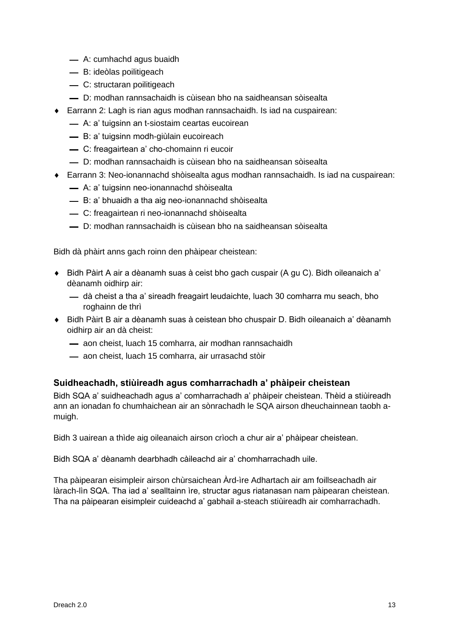- A: cumhachd agus buaidh
- B: ideòlas poilitigeach
- C: structaran poilitigeach
- D: modhan rannsachaidh is cùisean bho na saidheansan sòisealta
- Earrann 2: Lagh is rian agus modhan rannsachaidh. Is iad na cuspairean:
	- A: a' tuigsinn an t-siostaim ceartas eucoirean
	- B: a' tuigsinn modh-giùlain eucoireach
	- C: freagairtean a' cho-chomainn ri eucoir
	- D: modhan rannsachaidh is cùisean bho na saidheansan sòisealta
- Earrann 3: Neo-ionannachd shòisealta agus modhan rannsachaidh. Is iad na cuspairean:
	- A: a' tuigsinn neo-ionannachd shòisealta
	- B: a' bhuaidh a tha aig neo-ionannachd shòisealta
	- C: freagairtean ri neo-ionannachd shòisealta
	- D: modhan rannsachaidh is cùisean bho na saidheansan sòisealta

Bidh dà phàirt anns gach roinn den phàipear cheistean:

- Bidh Pàirt A air a dèanamh suas à ceist bho gach cuspair (A gu C). Bidh oileanaich a' dèanamh oidhirp air:
	- $-$  dà cheist a tha a' sireadh freagairt leudaichte, luach 30 comharra mu seach, bho roghainn de thrì
- Bidh Pàirt B air a dèanamh suas à ceistean bho chuspair D. Bidh oileanaich a' dèanamh oidhirp air an dà cheist:
	- aon cheist, luach 15 comharra, air modhan rannsachaidh
	- aon cheist, luach 15 comharra, air urrasachd stòir

## **Suidheachadh, stiùireadh agus comharrachadh a' phàipeir cheistean**

Bidh SQA a' suidheachadh agus a' comharrachadh a' phàipeir cheistean. Thèid a stiùireadh ann an ionadan fo chumhaichean air an sònrachadh le SQA airson dheuchainnean taobh amuigh.

Bidh 3 uairean a thìde aig oileanaich airson crìoch a chur air a' phàipear cheistean.

Bidh SQA a' dèanamh dearbhadh càileachd air a' chomharrachadh uile.

Tha pàipearan eisimpleir airson chùrsaichean Àrd-ìre Adhartach air am foillseachadh air làrach-lìn SQA. Tha iad a' sealltainn ìre, structar agus riatanasan nam pàipearan cheistean. Tha na pàipearan eisimpleir cuideachd a' gabhail a-steach stiùireadh air comharrachadh.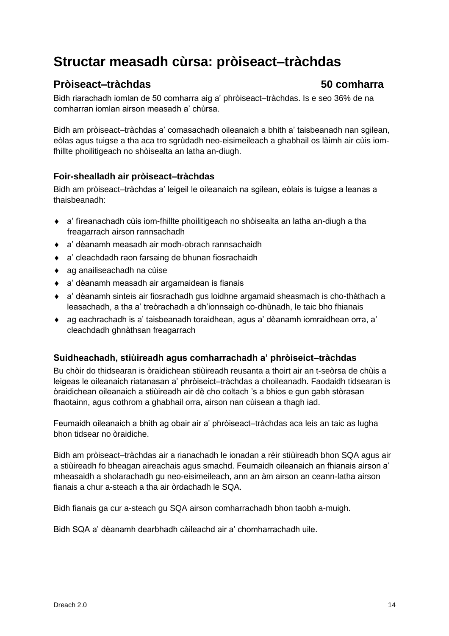## <span id="page-15-0"></span>**Structar measadh cùrsa: pròiseact–tràchdas**

## **Pròiseact–tràchdas 50 comharra**

Bidh riarachadh iomlan de 50 comharra aig a' phròiseact–tràchdas. Is e seo 36% de na comharran iomlan airson measadh a' chùrsa.

Bidh am pròiseact–tràchdas a' comasachadh oileanaich a bhith a' taisbeanadh nan sgilean, eòlas agus tuigse a tha aca tro sgrùdadh neo-eisimeileach a ghabhail os làimh air cùis iomfhillte phoilitigeach no shòisealta an latha an-diugh.

## **Foir-shealladh air pròiseact–tràchdas**

Bidh am pròiseact–tràchdas a' leigeil le oileanaich na sgilean, eòlais is tuigse a leanas a thaisbeanadh:

- a' fìreanachadh cùis iom-fhillte phoilitigeach no shòisealta an latha an-diugh a tha freagarrach airson rannsachadh
- a' dèanamh measadh air modh-obrach rannsachaidh
- a' cleachdadh raon farsaing de bhunan fiosrachaidh
- ag anailiseachadh na cùise
- a' dèanamh measadh air argamaidean is fianais
- a' dèanamh sinteis air fiosrachadh gus loidhne argamaid sheasmach is cho-thàthach a leasachadh, a tha a' treòrachadh a dh'ionnsaigh co-dhùnadh, le taic bho fhianais
- ag eachrachadh is a' taisbeanadh toraidhean, agus a' dèanamh iomraidhean orra, a' cleachdadh ghnàthsan freagarrach

## **Suidheachadh, stiùireadh agus comharrachadh a' phròiseict–tràchdas**

Bu chòir do thidsearan is òraidichean stiùireadh reusanta a thoirt air an t-seòrsa de chùis a leigeas le oileanaich riatanasan a' phròiseict–tràchdas a choileanadh. Faodaidh tidsearan is òraidichean oileanaich a stiùireadh air dè cho coltach 's a bhios e gun gabh stòrasan fhaotainn, agus cothrom a ghabhail orra, airson nan cùisean a thagh iad.

Feumaidh oileanaich a bhith ag obair air a' phròiseact–tràchdas aca leis an taic as lugha bhon tidsear no òraidiche.

Bidh am pròiseact–tràchdas air a rianachadh le ionadan a rèir stiùireadh bhon SQA agus air a stiùireadh fo bheagan aireachais agus smachd. Feumaidh oileanaich an fhianais airson a' mheasaidh a sholarachadh gu neo-eisimeileach, ann an àm airson an ceann-latha airson fianais a chur a-steach a tha air òrdachadh le SQA.

Bidh fianais ga cur a-steach gu SQA airson comharrachadh bhon taobh a-muigh.

Bidh SQA a' dèanamh dearbhadh càileachd air a' chomharrachadh uile.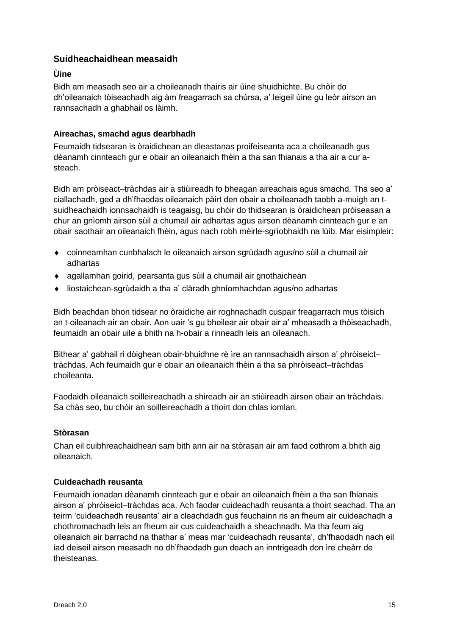## **Suidheachaidhean measaidh**

### **Ùine**

Bidh am measadh seo air a choileanadh thairis air ùine shuidhichte. Bu chòir do dh'oileanaich tòiseachadh aig àm freagarrach sa chùrsa, a' leigeil ùine gu leòr airson an rannsachadh a ghabhail os làimh.

## **Aireachas, smachd agus dearbhadh**

Feumaidh tidsearan is òraidichean an dleastanas proifeiseanta aca a choileanadh gus dèanamh cinnteach gur e obair an oileanaich fhèin a tha san fhianais a tha air a cur asteach.

Bidh am pròiseact–tràchdas air a stiùireadh fo bheagan aireachais agus smachd. Tha seo a' ciallachadh, ged a dh'fhaodas oileanaich pàirt den obair a choileanadh taobh a-muigh an tsuidheachaidh ionnsachaidh is teagaisg, bu chòir do thidsearan is òraidichean pròiseasan a chur an gnìomh airson sùil a chumail air adhartas agus airson dèanamh cinnteach gur e an obair saothair an oileanaich fhèin, agus nach robh mèirle-sgrìobhaidh na lùib. Mar eisimpleir:

- coinneamhan cunbhalach le oileanaich airson sgrùdadh agus/no sùil a chumail air adhartas
- agallamhan goirid, pearsanta gus sùil a chumail air gnothaichean
- liostaichean-sgrùdaidh a tha a' clàradh ghnìomhachdan agus/no adhartas

Bidh beachdan bhon tidsear no òraidiche air roghnachadh cuspair freagarrach mus tòisich an t-oileanach air an obair. Aon uair 's gu bheilear air obair air a' mheasadh a thòiseachadh, feumaidh an obair uile a bhith na h-obair a rinneadh leis an oileanach.

Bithear a' gabhail ri dòighean obair-bhuidhne rè ìre an rannsachaidh airson a' phròiseict– tràchdas. Ach feumaidh gur e obair an oileanaich fhèin a tha sa phròiseact–tràchdas choileanta.

Faodaidh oileanaich soilleireachadh a shireadh air an stiùireadh airson obair an tràchdais. Sa chàs seo, bu chòir an soilleireachadh a thoirt don chlas iomlan.

### **Stòrasan**

Chan eil cuibhreachaidhean sam bith ann air na stòrasan air am faod cothrom a bhith aig oileanaich.

### **Cuideachadh reusanta**

Feumaidh ionadan dèanamh cinnteach gur e obair an oileanaich fhèin a tha san fhianais airson a' phròiseict–tràchdas aca. Ach faodar cuideachadh reusanta a thoirt seachad. Tha an teirm 'cuideachadh reusanta' air a cleachdadh gus feuchainn ris an fheum air cuideachadh a chothromachadh leis an fheum air cus cuideachaidh a sheachnadh. Ma tha feum aig oileanaich air barrachd na thathar a' meas mar 'cuideachadh reusanta', dh'fhaodadh nach eil iad deiseil airson measadh no dh'fhaodadh gun deach an inntrigeadh don ìre cheàrr de theisteanas.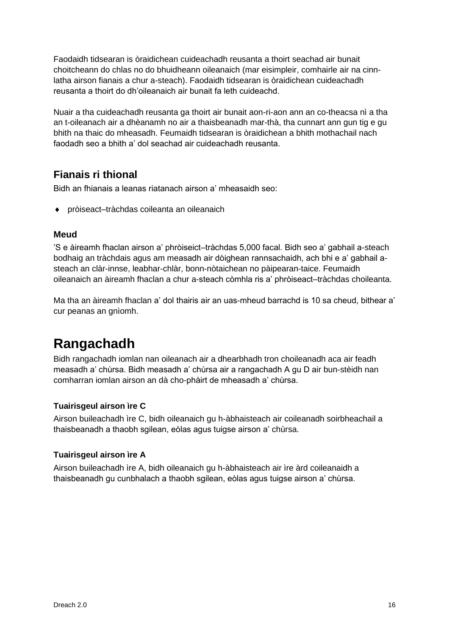Faodaidh tidsearan is òraidichean cuideachadh reusanta a thoirt seachad air bunait choitcheann do chlas no do bhuidheann oileanaich (mar eisimpleir, comhairle air na cinnlatha airson fianais a chur a-steach). Faodaidh tidsearan is òraidichean cuideachadh reusanta a thoirt do dh'oileanaich air bunait fa leth cuideachd.

Nuair a tha cuideachadh reusanta ga thoirt air bunait aon-ri-aon ann an co-theacsa nì a tha an t-oileanach air a dhèanamh no air a thaisbeanadh mar-thà, tha cunnart ann gun tig e gu bhith na thaic do mheasadh. Feumaidh tidsearan is òraidichean a bhith mothachail nach faodadh seo a bhith a' dol seachad air cuideachadh reusanta.

## **Fianais ri thional**

Bidh an fhianais a leanas riatanach airson a' mheasaidh seo:

◆ pròiseact–tràchdas coileanta an oileanaich

## **Meud**

'S e àireamh fhaclan airson a' phròiseict–tràchdas 5,000 facal. Bidh seo a' gabhail a-steach bodhaig an tràchdais agus am measadh air dòighean rannsachaidh, ach bhi e a' gabhail asteach an clàr-innse, leabhar-chlàr, bonn-nòtaichean no pàipearan-taice. Feumaidh oileanaich an àireamh fhaclan a chur a-steach còmhla ris a' phròiseact–tràchdas choileanta.

Ma tha an àireamh fhaclan a' dol thairis air an uas-mheud barrachd is 10 sa cheud, bithear a' cur peanas an gnìomh.

## <span id="page-17-0"></span>**Rangachadh**

Bidh rangachadh iomlan nan oileanach air a dhearbhadh tron choileanadh aca air feadh measadh a' chùrsa. Bidh measadh a' chùrsa air a rangachadh A gu D air bun-stèidh nan comharran iomlan airson an dà cho-phàirt de mheasadh a' chùrsa.

## **Tuairisgeul airson ìre C**

Airson buileachadh ìre C, bidh oileanaich gu h-àbhaisteach air coileanadh soirbheachail a thaisbeanadh a thaobh sgilean, eòlas agus tuigse airson a' chùrsa.

## **Tuairisgeul airson ìre A**

Airson buileachadh ìre A, bidh oileanaich gu h-àbhaisteach air ìre àrd coileanaidh a thaisbeanadh gu cunbhalach a thaobh sgilean, eòlas agus tuigse airson a' chùrsa.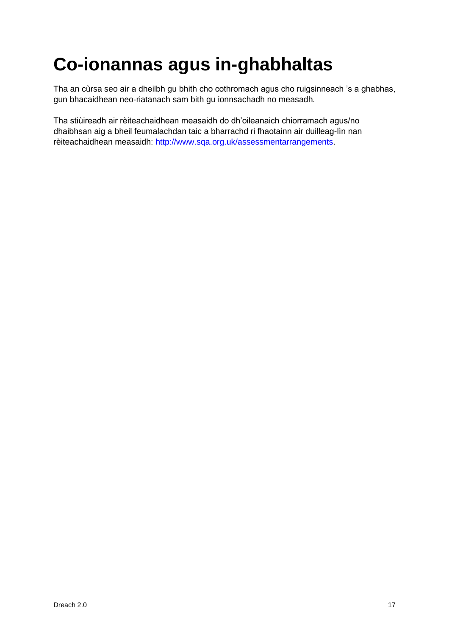# <span id="page-18-0"></span>**Co-ionannas agus in-ghabhaltas**

Tha an cùrsa seo air a dheilbh gu bhith cho cothromach agus cho ruigsinneach 's a ghabhas, gun bhacaidhean neo-riatanach sam bith gu ionnsachadh no measadh.

Tha stiùireadh air rèiteachaidhean measaidh do dh'oileanaich chiorramach agus/no dhaibhsan aig a bheil feumalachdan taic a bharrachd ri fhaotainn air duilleag-lìn nan rèiteachaidhean measaidh: [http://www.sqa.org.uk/assessmentarrangements.](http://www.sqa.org.uk/assessmentarrangements)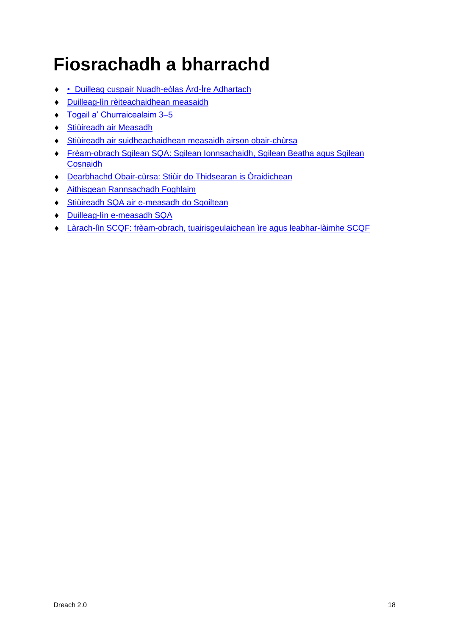# <span id="page-19-0"></span>**Fiosrachadh a bharrachd**

- [Duilleag cuspair Nuadh-eòlas Àrd-Ìre Adhartach](https://www.sqa.org.uk/sqa/48467.html)
- [Duilleag-lìn rèiteachaidhean measaidh](http://www.sqa.org.uk/assessmentarrangements)
- ◆ Togail a' Churraicealaim 3-5
- [Stiùireadh air Measadh](http://www.sqa.org.uk/sqa/2424.html)
- [Stiùireadh air suidheachaidhean measaidh airson obair-chùrsa](http://www.sqa.org.uk/sqa/files_ccc/Guidance_on_conditions_of_assessment_for_coursework.pdf)
- [Frèam-obrach Sgilean SQA: Sgilean Ionnsachaidh, Sgilean Beatha agus Sgilean](http://www.sqa.org.uk/sqa/63101.html)  [Cosnaidh](http://www.sqa.org.uk/sqa/63101.html)
- [Dearbhachd Obair-cùrsa: Stiùir do Thidsearan is Òraidichean](http://www.sqa.org.uk/sqa/1418.html)
- [Aithisgean Rannsachadh Foghlaim](http://www.sqa.org.uk/sqa/35847.958.html)
- [Stiùireadh SQA air e-measadh do Sgoiltean](http://www.sqa.org.uk/sqa/2424.html)
- [Duilleag-lìn e-measadh SQA](http://www.sqa.org.uk/sqa/68750.html)
- [Làrach-lìn SCQF: frèam-obrach, tuairisgeulaichean ìre agus leabhar-làimhe SCQF](https://scqf.org.uk/)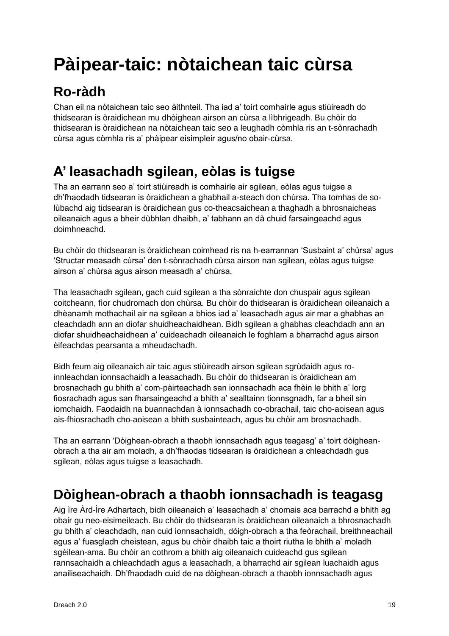# <span id="page-20-0"></span>**Pàipear-taic: nòtaichean taic cùrsa**

# <span id="page-20-1"></span>**Ro-ràdh**

Chan eil na nòtaichean taic seo àithnteil. Tha iad a' toirt comhairle agus stiùireadh do thidsearan is òraidichean mu dhòighean airson an cùrsa a lìbhrigeadh. Bu chòir do thidsearan is òraidichean na nòtaichean taic seo a leughadh còmhla ris an t-sònrachadh cùrsa agus còmhla ris a' phàipear eisimpleir agus/no obair-cùrsa.

# <span id="page-20-2"></span>**A' leasachadh sgilean, eòlas is tuigse**

Tha an earrann seo a' toirt stiùireadh is comhairle air sgilean, eòlas agus tuigse a dh'fhaodadh tidsearan is òraidichean a ghabhail a-steach don chùrsa. Tha tomhas de solùbachd aig tidsearan is òraidichean gus co-theacsaichean a thaghadh a bhrosnaicheas oileanaich agus a bheir dùbhlan dhaibh, a' tabhann an dà chuid farsaingeachd agus doimhneachd.

Bu chòir do thidsearan is òraidichean coimhead ris na h-earrannan 'Susbaint a' chùrsa' agus 'Structar measadh cùrsa' den t-sònrachadh cùrsa airson nan sgilean, eòlas agus tuigse airson a' chùrsa agus airson measadh a' chùrsa.

Tha leasachadh sgilean, gach cuid sgilean a tha sònraichte don chuspair agus sgilean coitcheann, fìor chudromach don chùrsa. Bu chòir do thidsearan is òraidichean oileanaich a dhèanamh mothachail air na sgilean a bhios iad a' leasachadh agus air mar a ghabhas an cleachdadh ann an diofar shuidheachaidhean. Bidh sgilean a ghabhas cleachdadh ann an diofar shuidheachaidhean a' cuideachadh oileanaich le foghlam a bharrachd agus airson èifeachdas pearsanta a mheudachadh.

Bidh feum aig oileanaich air taic agus stiùireadh airson sgilean sgrùdaidh agus roinnleachdan ionnsachaidh a leasachadh. Bu chòir do thidsearan is òraidichean am brosnachadh gu bhith a' com-pàirteachadh san ionnsachadh aca fhèin le bhith a' lorg fiosrachadh agus san fharsaingeachd a bhith a' sealltainn tionnsgnadh, far a bheil sin iomchaidh. Faodaidh na buannachdan à ionnsachadh co-obrachail, taic cho-aoisean agus ais-fhiosrachadh cho-aoisean a bhith susbainteach, agus bu chòir am brosnachadh.

Tha an earrann 'Dòighean-obrach a thaobh ionnsachadh agus teagasg' a' toirt dòigheanobrach a tha air am moladh, a dh'fhaodas tidsearan is òraidichean a chleachdadh gus sgilean, eòlas agus tuigse a leasachadh.

## <span id="page-20-3"></span>**Dòighean-obrach a thaobh ionnsachadh is teagasg**

Aig ìre Àrd-Ìre Adhartach, bidh oileanaich a' leasachadh a' chomais aca barrachd a bhith ag obair gu neo-eisimeileach. Bu chòir do thidsearan is òraidichean oileanaich a bhrosnachadh gu bhith a' cleachdadh, nan cuid ionnsachaidh, dòigh-obrach a tha feòrachail, breithneachail agus a' fuasgladh cheistean, agus bu chòir dhaibh taic a thoirt riutha le bhith a' moladh sgèilean-ama. Bu chòir an cothrom a bhith aig oileanaich cuideachd gus sgilean rannsachaidh a chleachdadh agus a leasachadh, a bharrachd air sgilean luachaidh agus anailiseachaidh. Dh'fhaodadh cuid de na dòighean-obrach a thaobh ionnsachadh agus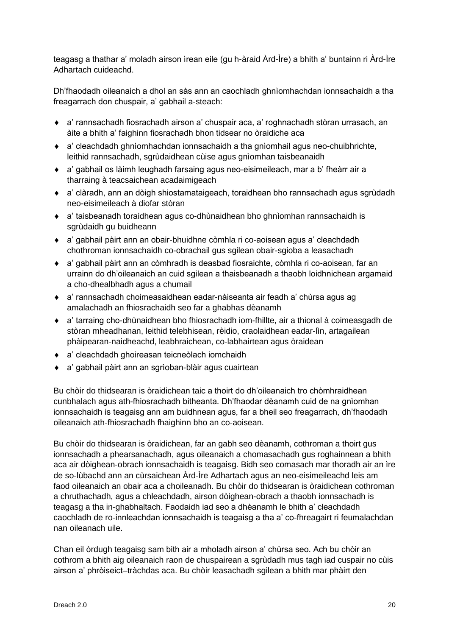teagasg a thathar a' moladh airson ìrean eile (gu h-àraid Àrd-Ìre) a bhith a' buntainn ri Àrd-Ìre Adhartach cuideachd.

Dh'fhaodadh oileanaich a dhol an sàs ann an caochladh ghnìomhachdan ionnsachaidh a tha freagarrach don chuspair, a' gabhail a-steach:

- a' rannsachadh fiosrachadh airson a' chuspair aca, a' roghnachadh stòran urrasach, an àite a bhith a' faighinn fiosrachadh bhon tidsear no òraidiche aca
- a' cleachdadh ghnìomhachdan ionnsachaidh a tha gnìomhail agus neo-chuibhrichte, leithid rannsachadh, sgrùdaidhean cùise agus gnìomhan taisbeanaidh
- a' gabhail os làimh leughadh farsaing agus neo-eisimeileach, mar a b' fheàrr air a tharraing à teacsaichean acadaimigeach
- a' clàradh, ann an dòigh shiostamataigeach, toraidhean bho rannsachadh agus sgrùdadh neo-eisimeileach à diofar stòran
- a' taisbeanadh toraidhean agus co-dhùnaidhean bho ghnìomhan rannsachaidh is sgrùdaidh gu buidheann
- a' gabhail pàirt ann an obair-bhuidhne còmhla ri co-aoisean agus a' cleachdadh chothroman ionnsachaidh co-obrachail gus sgilean obair-sgioba a leasachadh
- a' gabhail pàirt ann an còmhradh is deasbad fiosraichte, còmhla ri co-aoisean, far an urrainn do dh'oileanaich an cuid sgilean a thaisbeanadh a thaobh loidhnichean argamaid a cho-dhealbhadh agus a chumail
- a' rannsachadh choimeasaidhean eadar-nàiseanta air feadh a' chùrsa agus ag amalachadh an fhiosrachaidh seo far a ghabhas dèanamh
- a' tarraing cho-dhùnaidhean bho fhiosrachadh iom-fhillte, air a thional à coimeasgadh de stòran mheadhanan, leithid telebhisean, rèidio, craolaidhean eadar-lìn, artagailean phàipearan-naidheachd, leabhraichean, co-labhairtean agus òraidean
- a' cleachdadh ghoireasan teicneòlach iomchaidh
- a' gabhail pàirt ann an sgrìoban-blàir agus cuairtean

Bu chòir do thidsearan is òraidichean taic a thoirt do dh'oileanaich tro chòmhraidhean cunbhalach agus ath-fhiosrachadh bitheanta. Dh'fhaodar dèanamh cuid de na gnìomhan ionnsachaidh is teagaisg ann am buidhnean agus, far a bheil seo freagarrach, dh'fhaodadh oileanaich ath-fhiosrachadh fhaighinn bho an co-aoisean.

Bu chòir do thidsearan is òraidichean, far an gabh seo dèanamh, cothroman a thoirt gus ionnsachadh a phearsanachadh, agus oileanaich a chomasachadh gus roghainnean a bhith aca air dòighean-obrach ionnsachaidh is teagaisg. Bidh seo comasach mar thoradh air an ìre de so-lùbachd ann an cùrsaichean Àrd-Ìre Adhartach agus an neo-eisimeileachd leis am faod oileanaich an obair aca a choileanadh. Bu chòir do thidsearan is òraidichean cothroman a chruthachadh, agus a chleachdadh, airson dòighean-obrach a thaobh ionnsachadh is teagasg a tha in-ghabhaltach. Faodaidh iad seo a dhèanamh le bhith a' cleachdadh caochladh de ro-innleachdan ionnsachaidh is teagaisg a tha a' co-fhreagairt ri feumalachdan nan oileanach uile.

Chan eil òrdugh teagaisg sam bith air a mholadh airson a' chùrsa seo. Ach bu chòir an cothrom a bhith aig oileanaich raon de chuspairean a sgrùdadh mus tagh iad cuspair no cùis airson a' phròiseict–tràchdas aca. Bu chòir leasachadh sgilean a bhith mar phàirt den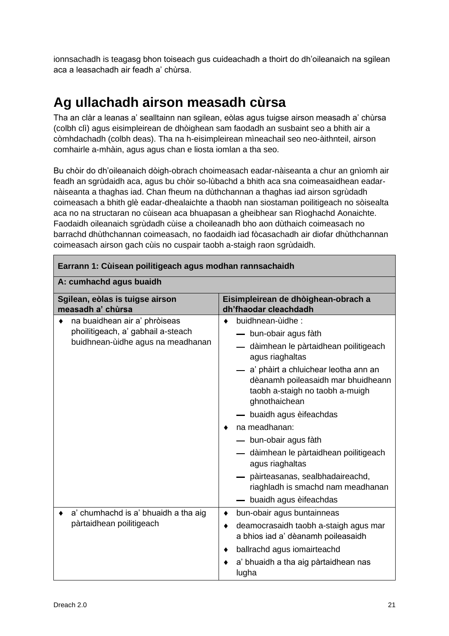ionnsachadh is teagasg bhon toiseach gus cuideachadh a thoirt do dh'oileanaich na sgilean aca a leasachadh air feadh a' chùrsa.

## <span id="page-22-0"></span>**Ag ullachadh airson measadh cùrsa**

Tha an clàr a leanas a' sealltainn nan sgilean, eòlas agus tuigse airson measadh a' chùrsa (colbh clì) agus eisimpleirean de dhòighean sam faodadh an susbaint seo a bhith air a còmhdachadh (colbh deas). Tha na h-eisimpleirean mìneachail seo neo-àithnteil, airson comhairle a-mhàin, agus agus chan e liosta iomlan a tha seo.

Bu chòir do dh'oileanaich dòigh-obrach choimeasach eadar-nàiseanta a chur an gnìomh air feadh an sgrùdaidh aca, agus bu chòir so-lùbachd a bhith aca sna coimeasaidhean eadarnàiseanta a thaghas iad. Chan fheum na dùthchannan a thaghas iad airson sgrùdadh coimeasach a bhith glè eadar-dhealaichte a thaobh nan siostaman poilitigeach no sòisealta aca no na structaran no cùisean aca bhuapasan a gheibhear san Rìoghachd Aonaichte. Faodaidh oileanaich sgrùdadh cùise a choileanadh bho aon dùthaich coimeasach no barrachd dhùthchannan coimeasach, no faodaidh iad fòcasachadh air diofar dhùthchannan coimeasach airson gach cùis no cuspair taobh a-staigh raon sgrùdaidh.

| Earrann 1: Cùisean poilitigeach agus modhan rannsachaidh                                                      |                                                                                                                                  |  |
|---------------------------------------------------------------------------------------------------------------|----------------------------------------------------------------------------------------------------------------------------------|--|
| A: cumhachd agus buaidh                                                                                       |                                                                                                                                  |  |
| Sgilean, eòlas is tuigse airson<br>measadh a' chùrsa                                                          | Eisimpleirean de dhòighean-obrach a<br>dh'fhaodar cleachdadh                                                                     |  |
| na buaidhean air a' phròiseas<br>٠<br>phoilitigeach, a' gabhail a-steach<br>buidhnean-ùidhe agus na meadhanan | buidhnean-ùidhe:<br>$\bullet$<br>— bun-obair agus fàth                                                                           |  |
|                                                                                                               | — dàimhean le pàrtaidhean poilitigeach<br>agus riaghaltas                                                                        |  |
|                                                                                                               | — a' phàirt a chluichear leotha ann an<br>dèanamh poileasaidh mar bhuidheann<br>taobh a-staigh no taobh a-muigh<br>ghnothaichean |  |
|                                                                                                               | — buaidh agus èifeachdas                                                                                                         |  |
|                                                                                                               | na meadhanan:<br>٠                                                                                                               |  |
|                                                                                                               | — bun-obair agus fàth                                                                                                            |  |
|                                                                                                               | — dàimhean le pàrtaidhean poilitigeach<br>agus riaghaltas                                                                        |  |
|                                                                                                               | - pàirteasanas, sealbhadaireachd,<br>riaghladh is smachd nam meadhanan                                                           |  |
|                                                                                                               | buaidh agus èifeachdas                                                                                                           |  |
| a' chumhachd is a' bhuaidh a tha aig                                                                          | bun-obair agus buntainneas<br>٠                                                                                                  |  |
| pàrtaidhean poilitigeach                                                                                      | deamocrasaidh taobh a-staigh agus mar<br>٠<br>a bhios iad a' dèanamh poileasaidh                                                 |  |
|                                                                                                               | ballrachd agus iomairteachd                                                                                                      |  |
|                                                                                                               | a' bhuaidh a tha aig pàrtaidhean nas<br>lugha                                                                                    |  |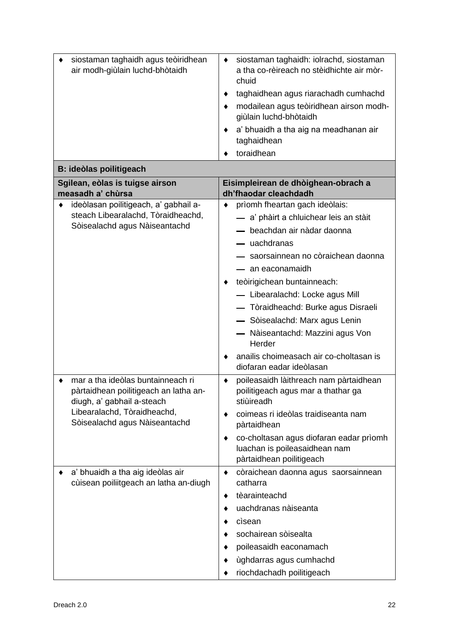| siostaman taghaidh agus teòiridhean<br>air modh-giùlain luchd-bhòtaidh                                   | siostaman taghaidh: iolrachd, siostaman<br>٠<br>a tha co-rèireach no stèidhichte air mòr-<br>chuid   |
|----------------------------------------------------------------------------------------------------------|------------------------------------------------------------------------------------------------------|
|                                                                                                          | taghaidhean agus riarachadh cumhachd                                                                 |
|                                                                                                          | modailean agus teòiridhean airson modh-<br>giùlain luchd-bhòtaidh                                    |
|                                                                                                          | a' bhuaidh a tha aig na meadhanan air<br>taghaidhean                                                 |
|                                                                                                          | toraidhean                                                                                           |
| B: ideòlas poilitigeach                                                                                  |                                                                                                      |
| Sgilean, eòlas is tuigse airson<br>measadh a' chùrsa                                                     | Eisimpleirean de dhòighean-obrach a<br>dh'fhaodar cleachdadh                                         |
| ideòlasan poilitigeach, a' gabhail a-<br>٠                                                               | prìomh fheartan gach ideòlais:<br>٠                                                                  |
| steach Libearalachd, Tòraidheachd,                                                                       | - a' phàirt a chluichear leis an stàit                                                               |
| Sòisealachd agus Nàiseantachd                                                                            | - beachdan air nàdar daonna                                                                          |
|                                                                                                          | - uachdranas                                                                                         |
|                                                                                                          | - saorsainnean no còraichean daonna                                                                  |
|                                                                                                          | — an eaconamaidh                                                                                     |
|                                                                                                          | teòirigichean buntainneach:                                                                          |
|                                                                                                          | - Libearalachd: Locke agus Mill                                                                      |
|                                                                                                          | - Tòraidheachd: Burke agus Disraeli                                                                  |
|                                                                                                          | - Sòisealachd: Marx agus Lenin                                                                       |
|                                                                                                          | Nàiseantachd: Mazzini agus Von<br>Herder                                                             |
|                                                                                                          | anailis choimeasach air co-choltasan is<br>diofaran eadar ideòlasan                                  |
| mar a tha ideòlas buntainneach ri<br>pàrtaidhean poilitigeach an latha an-<br>diugh, a' gabhail a-steach | poileasaidh làithreach nam pàrtaidhean<br>٠<br>poilitigeach agus mar a thathar ga<br>stiùireadh      |
| Libearalachd, Tòraidheachd,<br>Sòisealachd agus Nàiseantachd                                             | coimeas ri ideòlas traidiseanta nam<br>pàrtaidhean                                                   |
|                                                                                                          | co-choltasan agus diofaran eadar prìomh<br>luachan is poileasaidhean nam<br>pàrtaidhean poilitigeach |
| a' bhuaidh a tha aig ideòlas air<br>cùisean poiliitgeach an latha an-diugh                               | còraichean daonna agus saorsainnean<br>٠<br>catharra                                                 |
|                                                                                                          | tèarainteachd<br>٠                                                                                   |
|                                                                                                          | uachdranas nàiseanta                                                                                 |
|                                                                                                          | cisean                                                                                               |
|                                                                                                          | sochairean sòisealta                                                                                 |
|                                                                                                          | poileasaidh eaconamach                                                                               |
|                                                                                                          | ùghdarras agus cumhachd                                                                              |
|                                                                                                          | riochdachadh poilitigeach                                                                            |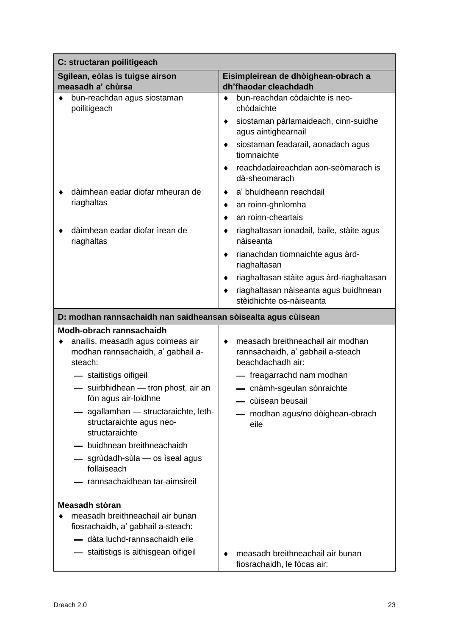| C: structaran poilitigeach                                                                                                                                                                                                                                                                                                                                                                                    |                                                                                                                                                                                                                                                                                                                                                                                                                                              |  |
|---------------------------------------------------------------------------------------------------------------------------------------------------------------------------------------------------------------------------------------------------------------------------------------------------------------------------------------------------------------------------------------------------------------|----------------------------------------------------------------------------------------------------------------------------------------------------------------------------------------------------------------------------------------------------------------------------------------------------------------------------------------------------------------------------------------------------------------------------------------------|--|
| Sgilean, eòlas is tuigse airson<br>measadh a' chùrsa                                                                                                                                                                                                                                                                                                                                                          | Eisimpleirean de dhòighean-obrach a<br>dh'fhaodar cleachdadh                                                                                                                                                                                                                                                                                                                                                                                 |  |
| bun-reachdan agus siostaman<br>poilitigeach<br>dàimhean eadar diofar mheuran de<br>riaghaltas<br>dàimhean eadar diofar ìrean de<br>riaghaltas                                                                                                                                                                                                                                                                 | bun-reachdan còdaichte is neo-<br>٠<br>chòdaichte<br>siostaman pàrlamaideach, cinn-suidhe<br>٠<br>agus aintighearnail<br>siostaman feadarail, aonadach agus<br>٠<br>tiomnaichte<br>reachdadaireachdan aon-seòmarach is<br>٠<br>dà-sheomarach<br>a' bhuidheann reachdail<br>$\bullet$<br>an roinn-ghnìomha<br>٠<br>an roinn-cheartais<br>riaghaltasan ionadail, baile, stàite agus<br>٠<br>nàiseanta<br>rianachdan tiomnaichte agus àrd-<br>٠ |  |
|                                                                                                                                                                                                                                                                                                                                                                                                               | riaghaltasan<br>riaghaltasan stàite agus àrd-riaghaltasan<br>٠<br>riaghaltasan nàiseanta agus buidhnean<br>٠<br>stèidhichte os-nàiseanta                                                                                                                                                                                                                                                                                                     |  |
| D: modhan rannsachaidh nan saidheansan sòisealta agus cùisean                                                                                                                                                                                                                                                                                                                                                 |                                                                                                                                                                                                                                                                                                                                                                                                                                              |  |
| Modh-obrach rannsachaidh<br>anailis, measadh agus coimeas air<br>modhan rannsachaidh, a' gabhail a-<br>steach:<br>- staitistigs oifigeil<br>- suirbhidhean - tron phost, air an<br>fòn agus air-loidhne<br>- agallamhan - structaraichte, leth-<br>structaraichte agus neo-<br>structaraichte<br>- buidhnean breithneachaidh<br>sgrùdadh-sùla — os ìseal agus<br>follaiseach<br>rannsachaidhean tar-aimsireil | measadh breithneachail air modhan<br>٠<br>rannsachaidh, a' gabhail a-steach<br>beachdachadh air:<br>- freagarrachd nam modhan<br>- cnàmh-sgeulan sònraichte<br>cùisean beusail<br>modhan agus/no dòighean-obrach<br>eile                                                                                                                                                                                                                     |  |
| Measadh stòran<br>measadh breithneachail air bunan<br>fiosrachaidh, a' gabhail a-steach:<br>- dàta luchd-rannsachaidh eile<br>staitistigs is aithisgean oifigeil                                                                                                                                                                                                                                              | measadh breithneachail air bunan<br>fiosrachaidh, le fòcas air:                                                                                                                                                                                                                                                                                                                                                                              |  |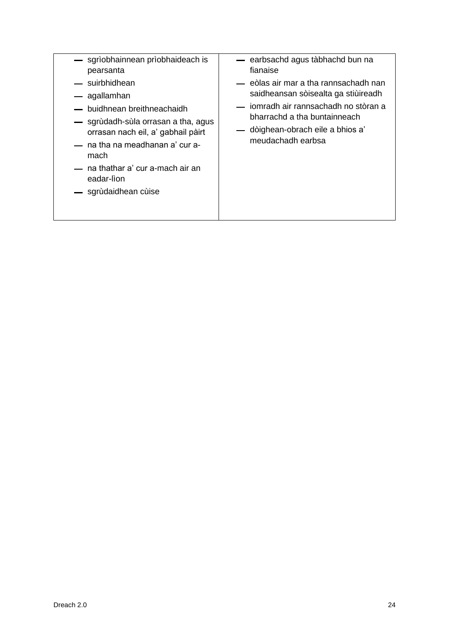| - sgrìobhainnean prìobhaideach is<br>pearsanta<br>— suirbhidhean<br>— agallamhan<br>- buidhnean breithneachaidh<br>- sgrùdadh-sùla orrasan a tha, agus<br>orrasan nach eil, a' gabhail pàirt<br>— na tha na meadhanan a' cur a-<br>mach<br>— na thathar a' cur a-mach air an<br>eadar-lìon<br>- sgrùdaidhean cùise | — earbsachd agus tàbhachd bun na<br>fianaise<br>— eòlas air mar a tha rannsachadh nan<br>saidheansan sòisealta ga stiùireadh<br>— jomradh air rannsachadh no stòran a<br>bharrachd a tha buntainneach<br>— dòighean-obrach eile a bhios a'<br>meudachadh earbsa |
|--------------------------------------------------------------------------------------------------------------------------------------------------------------------------------------------------------------------------------------------------------------------------------------------------------------------|-----------------------------------------------------------------------------------------------------------------------------------------------------------------------------------------------------------------------------------------------------------------|
|--------------------------------------------------------------------------------------------------------------------------------------------------------------------------------------------------------------------------------------------------------------------------------------------------------------------|-----------------------------------------------------------------------------------------------------------------------------------------------------------------------------------------------------------------------------------------------------------------|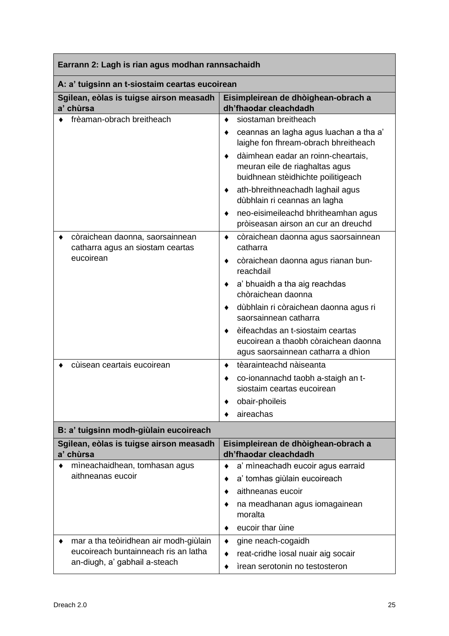| Earrann 2: Lagh is rian agus modhan rannsachaidh                    |                                                                                                                |  |
|---------------------------------------------------------------------|----------------------------------------------------------------------------------------------------------------|--|
| A: a' tuigsinn an t-siostaim ceartas eucoirean                      |                                                                                                                |  |
| Sgilean, eòlas is tuigse airson measadh<br>a' chùrsa                | Eisimpleirean de dhòighean-obrach a<br>dh'fhaodar cleachdadh                                                   |  |
| frèaman-obrach breitheach                                           | siostaman breitheach<br>٠                                                                                      |  |
|                                                                     | ceannas an lagha agus luachan a tha a'<br>laighe fon fhream-obrach bhreitheach                                 |  |
|                                                                     | dàimhean eadar an roinn-cheartais,<br>meuran eile de riaghaltas agus<br>buidhnean stèidhichte poilitigeach     |  |
|                                                                     | ath-bhreithneachadh laghail agus<br>٠<br>dùbhlain ri ceannas an lagha                                          |  |
|                                                                     | neo-eisimeileachd bhritheamhan agus<br>pròiseasan airson an cur an dreuchd                                     |  |
| còraichean daonna, saorsainnean<br>catharra agus an siostam ceartas | còraichean daonna agus saorsainnean<br>٠<br>catharra                                                           |  |
| eucoirean                                                           | còraichean daonna agus rianan bun-<br>٠<br>reachdail                                                           |  |
|                                                                     | a' bhuaidh a tha aig reachdas<br>chòraichean daonna                                                            |  |
|                                                                     | dùbhlain ri còraichean daonna agus ri<br>saorsainnean catharra                                                 |  |
|                                                                     | èifeachdas an t-siostaim ceartas<br>eucoirean a thaobh còraichean daonna<br>agus saorsainnean catharra a dhìon |  |
| cùisean ceartais eucoirean                                          | tèarainteachd nàiseanta                                                                                        |  |
|                                                                     | co-ionannachd taobh a-staigh an t-<br>siostaim ceartas eucoirean                                               |  |
|                                                                     | obair-phoileis                                                                                                 |  |
|                                                                     | aireachas                                                                                                      |  |
| B: a' tuigsinn modh-giùlain eucoireach                              |                                                                                                                |  |
| Sgilean, eòlas is tuigse airson measadh<br>a' chùrsa                | Eisimpleirean de dhòighean-obrach a<br>dh'fhaodar cleachdadh                                                   |  |
| mìneachaidhean, tomhasan agus                                       | a' mìneachadh eucoir agus earraid                                                                              |  |
| aithneanas eucoir                                                   | a' tomhas giùlain eucoireach                                                                                   |  |
|                                                                     | aithneanas eucoir                                                                                              |  |
|                                                                     | na meadhanan agus iomagainean<br>moralta                                                                       |  |
|                                                                     | eucoir thar ùine                                                                                               |  |
| mar a tha teòiridhean air modh-giùlain                              | gine neach-cogaidh                                                                                             |  |
| eucoireach buntainneach ris an latha                                | reat-cridhe ìosal nuair aig socair                                                                             |  |
| an-diugh, a' gabhail a-steach                                       | ìrean serotonin no testosteron                                                                                 |  |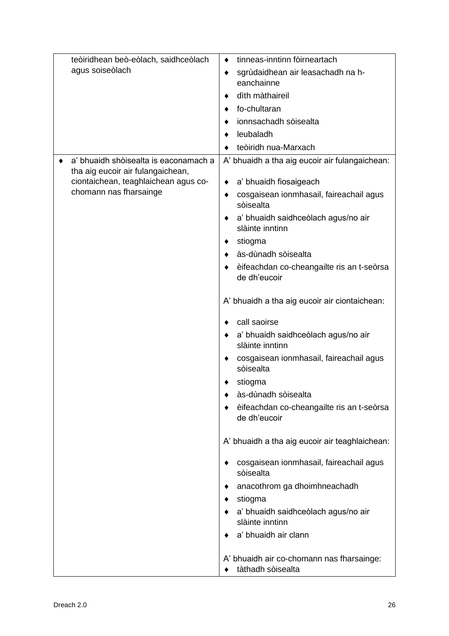| teòiridhean beò-eòlach, saidhceòlach  | tinneas-inntinn fòirneartach                                   |
|---------------------------------------|----------------------------------------------------------------|
| agus soiseòlach                       | sgrùdaidhean air leasachadh na h-<br>٠                         |
|                                       | eanchainne                                                     |
|                                       | dìth màthaireil                                                |
|                                       | fo-chultaran                                                   |
|                                       | ionnsachadh sòisealta                                          |
|                                       | leubaladh                                                      |
|                                       | teòiridh nua-Marxach                                           |
| a' bhuaidh shòisealta is eaconamach a | A' bhuaidh a tha aig eucoir air fulangaichean:                 |
| tha aig eucoir air fulangaichean,     |                                                                |
| ciontaichean, teaghlaichean agus co-  | a' bhuaidh fiosaigeach                                         |
| chomann nas fharsainge                | cosgaisean ionmhasail, faireachail agus<br>٠<br>sòisealta      |
|                                       | a' bhuaidh saidhceòlach agus/no air<br>slàinte inntinn         |
|                                       | stiogma                                                        |
|                                       | às-dùnadh sòisealta                                            |
|                                       | èifeachdan co-cheangailte ris an t-seòrsa                      |
|                                       | de dh'eucoir                                                   |
|                                       |                                                                |
|                                       | A' bhuaidh a tha aig eucoir air ciontaichean:                  |
|                                       | call saoirse                                                   |
|                                       | a' bhuaidh saidhceòlach agus/no air                            |
|                                       | slàinte inntinn                                                |
|                                       | cosgaisean ionmhasail, faireachail agus                        |
|                                       | sòisealta                                                      |
|                                       | stiogma                                                        |
|                                       | às-dùnadh sòisealta                                            |
|                                       | èifeachdan co-cheangailte ris an t-seòrsa<br>de dh'eucoir      |
|                                       | A' bhuaidh a tha aig eucoir air teaghlaichean:                 |
|                                       | cosgaisean ionmhasail, faireachail agus<br>sòisealta           |
|                                       | anacothrom ga dhoimhneachadh                                   |
|                                       | stiogma                                                        |
|                                       | a' bhuaidh saidhceòlach agus/no air                            |
|                                       | slàinte inntinn                                                |
|                                       | a' bhuaidh air clann                                           |
|                                       |                                                                |
|                                       | A' bhuaidh air co-chomann nas fharsainge:<br>tàthadh sòisealta |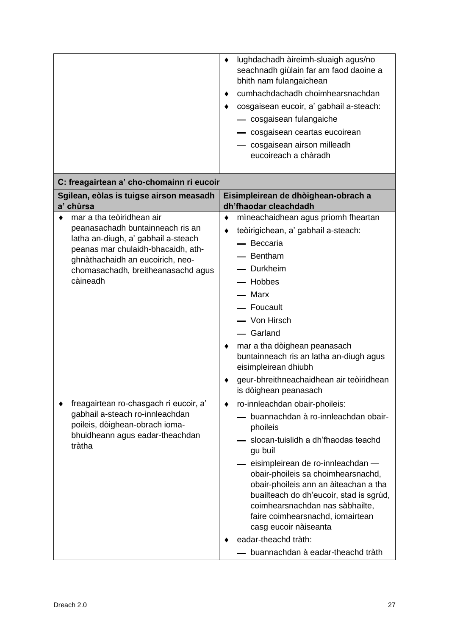|                                                                                                                                                                                                                                  | lughdachadh àireimh-sluaigh agus/no<br>٠<br>seachnadh giùlain far am faod daoine a<br>bhith nam fulangaichean<br>cumhachdachadh choimhearsnachdan<br>cosgaisean eucoir, a' gabhail a-steach:<br>- cosgaisean fulangaiche<br>- cosgaisean ceartas eucoirean<br>- cosgaisean airson milleadh<br>eucoireach a chàradh                                                                                                                |
|----------------------------------------------------------------------------------------------------------------------------------------------------------------------------------------------------------------------------------|-----------------------------------------------------------------------------------------------------------------------------------------------------------------------------------------------------------------------------------------------------------------------------------------------------------------------------------------------------------------------------------------------------------------------------------|
| C: freagairtean a' cho-chomainn ri eucoir                                                                                                                                                                                        |                                                                                                                                                                                                                                                                                                                                                                                                                                   |
| Sgilean, eòlas is tuigse airson measadh<br>a' chùrsa                                                                                                                                                                             | Eisimpleirean de dhòighean-obrach a<br>dh'fhaodar cleachdadh                                                                                                                                                                                                                                                                                                                                                                      |
| mar a tha teòiridhean air<br>peanasachadh buntainneach ris an<br>latha an-diugh, a' gabhail a-steach<br>peanas mar chulaidh-bhacaidh, ath-<br>ghnàthachaidh an eucoirich, neo-<br>chomasachadh, breitheanasachd agus<br>càineadh | mineachaidhean agus prìomh fheartan<br>٠<br>teòirigichean, a' gabhail a-steach:<br>- Beccaria<br>Bentham<br>- Durkheim<br>- Hobbes<br>— Marx<br>- Foucault<br>- Von Hirsch<br>- Garland<br>mar a tha dòighean peanasach<br>buntainneach ris an latha an-diugh agus<br>eisimpleirean dhiubh<br>geur-bhreithneachaidhean air teòiridhean<br>is dòighean peanasach                                                                   |
| freagairtean ro-chasgach ri eucoir, a'<br>gabhail a-steach ro-innleachdan<br>poileis, dòighean-obrach ioma-<br>bhuidheann agus eadar-theachdan<br>tràtha                                                                         | ro-innleachdan obair-phoileis:<br>٠<br>buannachdan à ro-innleachdan obair-<br>phoileis<br>slocan-tuislidh a dh'fhaodas teachd<br>gu buil<br>- eisimpleirean de ro-innleachdan -<br>obair-phoileis sa choimhearsnachd,<br>obair-phoileis ann an àiteachan a tha<br>buailteach do dh'eucoir, stad is sgrùd,<br>coimhearsnachdan nas sàbhailte,<br>faire coimhearsnachd, iomairtean<br>casg eucoir nàiseanta<br>eadar-theachd tràth: |
|                                                                                                                                                                                                                                  | buannachdan à eadar-theachd tràth                                                                                                                                                                                                                                                                                                                                                                                                 |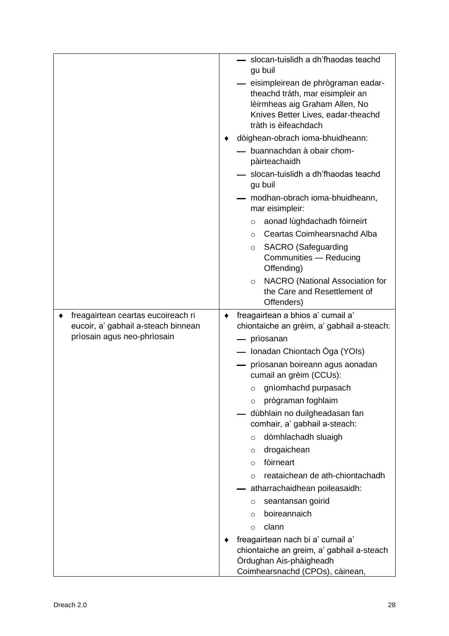|                                     | slocan-tuislidh a dh'fhaodas teachd<br>gu buil                                                                                                                         |
|-------------------------------------|------------------------------------------------------------------------------------------------------------------------------------------------------------------------|
|                                     | eisimpleirean de phrògraman eadar-<br>theachd tràth, mar eisimpleir an<br>lèirmheas aig Graham Allen, No<br>Knives Better Lives, eadar-theachd<br>tràth is èifeachdach |
|                                     | dòighean-obrach ioma-bhuidheann:                                                                                                                                       |
|                                     | buannachdan à obair chom-                                                                                                                                              |
|                                     | pàirteachaidh                                                                                                                                                          |
|                                     | slocan-tuislidh a dh'fhaodas teachd<br>gu buil                                                                                                                         |
|                                     | modhan-obrach ioma-bhuidheann,<br>mar eisimpleir:                                                                                                                      |
|                                     | aonad lùghdachadh fòirneirt<br>$\circ$                                                                                                                                 |
|                                     | Ceartas Coimhearsnachd Alba<br>$\circ$                                                                                                                                 |
|                                     | <b>SACRO</b> (Safeguarding<br>$\circ$                                                                                                                                  |
|                                     | Communities - Reducing<br>Offending)                                                                                                                                   |
|                                     | NACRO (National Association for<br>$\circ$<br>the Care and Resettlement of<br>Offenders)                                                                               |
| freagairtean ceartas eucoireach ri  | freagairtean a bhios a' cumail a'<br>٠                                                                                                                                 |
| eucoir, a' gabhail a-steach binnean | chiontaiche an grèim, a' gabhail a-steach:                                                                                                                             |
| prìosain agus neo-phrìosain         | — prìosanan                                                                                                                                                            |
|                                     | — Ionadan Chiontach Òga (YOIs)                                                                                                                                         |
|                                     | prìosanan boireann agus aonadan<br>cumail an grèim (CCUs):                                                                                                             |
|                                     | $\circ$ gnìomhachd purpasach                                                                                                                                           |
|                                     | prògraman foghlaim<br>$\circ$                                                                                                                                          |
|                                     | dùbhlain no duilgheadasan fan<br>comhair, a' gabhail a-steach:                                                                                                         |
|                                     | dòmhlachadh sluaigh<br>$\circ$                                                                                                                                         |
|                                     | drogaichean<br>$\circ$                                                                                                                                                 |
|                                     | fòirneart<br>$\circ$                                                                                                                                                   |
|                                     | reataichean de ath-chiontachadh<br>$\circ$                                                                                                                             |
|                                     | atharrachaidhean poileasaidh:                                                                                                                                          |
|                                     | seantansan goirid<br>O                                                                                                                                                 |
|                                     | boireannaich<br>$\circ$                                                                                                                                                |
|                                     | clann<br>$\circ$                                                                                                                                                       |
|                                     | freagairtean nach bi a' cumail a'<br>chiontaiche an greim, a' gabhail a-steach<br>Ordughan Ais-phàigheadh                                                              |
|                                     | Coimhearsnachd (CPOs), càinean,                                                                                                                                        |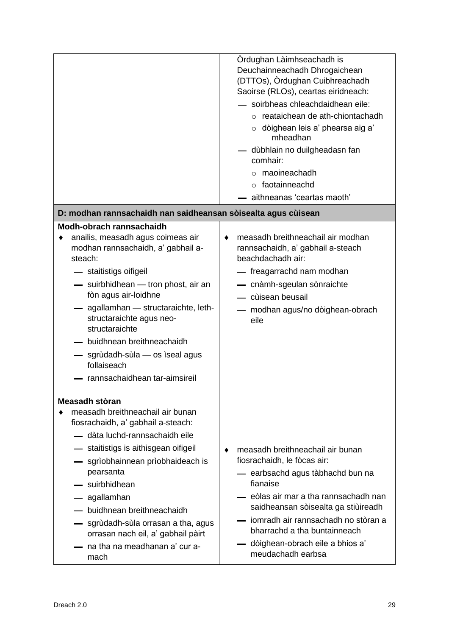|                                                                                                                                                                                                                                                                                                                                                                                                                                       | Ordughan Làimhseachadh is<br>Deuchainneachadh Dhrogaichean<br>(DTTOs), Òrdughan Cuibhreachadh<br>Saoirse (RLOs), ceartas eiridneach:<br>- soirbheas chleachdaidhean eile:<br>$\circ$ reataichean de ath-chiontachadh<br>$\circ$ dòighean leis a' phearsa aig a'<br>mheadhan<br>— dùbhlain no duilgheadasn fan<br>comhair:<br>$\circ$ maoineachadh<br>$\circ$ faotainneachd<br>aithneanas 'ceartas maoth' |
|---------------------------------------------------------------------------------------------------------------------------------------------------------------------------------------------------------------------------------------------------------------------------------------------------------------------------------------------------------------------------------------------------------------------------------------|----------------------------------------------------------------------------------------------------------------------------------------------------------------------------------------------------------------------------------------------------------------------------------------------------------------------------------------------------------------------------------------------------------|
| D: modhan rannsachaidh nan saidheansan sòisealta agus cùisean                                                                                                                                                                                                                                                                                                                                                                         |                                                                                                                                                                                                                                                                                                                                                                                                          |
| Modh-obrach rannsachaidh<br>anailis, measadh agus coimeas air<br>modhan rannsachaidh, a' gabhail a-<br>steach:<br>- staitistigs oifigeil<br>- suirbhidhean - tron phost, air an<br>fòn agus air-loidhne<br>- agallamhan - structaraichte, leth-<br>structaraichte agus neo-<br>structaraichte<br>- buidhnean breithneachaidh<br>— sgrùdadh-sùla — os ìseal agus<br>follaiseach<br>rannsachaidhean tar-aimsireil                       | measadh breithneachail air modhan<br>rannsachaidh, a' gabhail a-steach<br>beachdachadh air:<br>- freagarrachd nam modhan<br>- cnàmh-sgeulan sònraichte<br>— cùisean beusail<br>modhan agus/no dòighean-obrach<br>eile                                                                                                                                                                                    |
| Measadh stòran<br>measadh breithneachail air bunan<br>fiosrachaidh, a' gabhail a-steach:<br>- dàta luchd-rannsachaidh eile<br>- staitistigs is aithisgean oifigeil<br>sgrìobhainnean prìobhaideach is<br>$\overline{\phantom{0}}$<br>pearsanta<br>- suirbhidhean<br>— agallamhan<br>— buidhnean breithneachaidh<br>— sgrùdadh-sùla orrasan a tha, agus<br>orrasan nach eil, a' gabhail pàirt<br>na tha na meadhanan a' cur a-<br>mach | measadh breithneachail air bunan<br>fiosrachaidh, le fòcas air:<br>— earbsachd agus tàbhachd bun na<br>fianaise<br>— eòlas air mar a tha rannsachadh nan<br>saidheansan sòisealta ga stiùireadh<br>— iomradh air rannsachadh no stòran a<br>bharrachd a tha buntainneach<br>- dòighean-obrach eile a bhios a'<br>meudachadh earbsa                                                                       |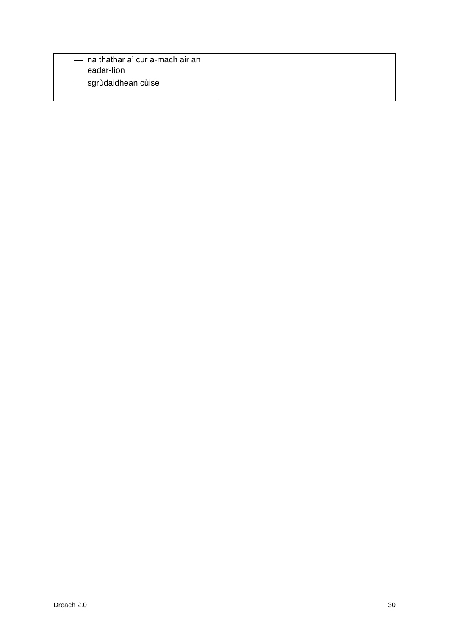| — na thathar a' cur a-mach air an<br>eadar-lìon |  |
|-------------------------------------------------|--|
| — sgrùdaidhean cùise                            |  |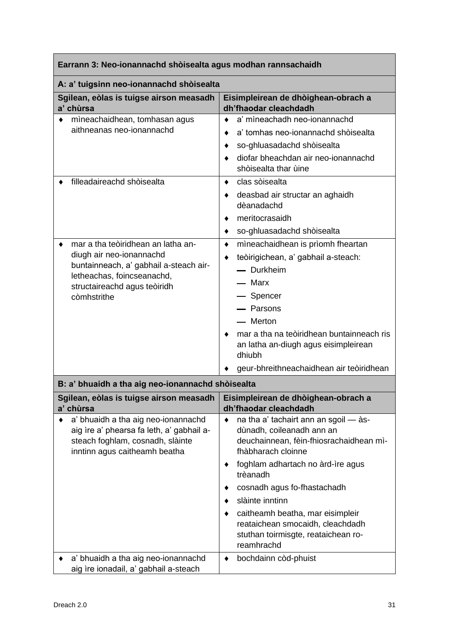| Earrann 3: Neo-ionannachd shòisealta agus modhan rannsachaidh                                                                                                                                                 |                                                                                                                                                                                                                                                                                                                                                                                                                                               |  |  |
|---------------------------------------------------------------------------------------------------------------------------------------------------------------------------------------------------------------|-----------------------------------------------------------------------------------------------------------------------------------------------------------------------------------------------------------------------------------------------------------------------------------------------------------------------------------------------------------------------------------------------------------------------------------------------|--|--|
| A: a' tuigsinn neo-ionannachd shòisealta                                                                                                                                                                      |                                                                                                                                                                                                                                                                                                                                                                                                                                               |  |  |
| Sgilean, eòlas is tuigse airson measadh<br>a' chùrsa                                                                                                                                                          | Eisimpleirean de dhòighean-obrach a<br>dh'fhaodar cleachdadh                                                                                                                                                                                                                                                                                                                                                                                  |  |  |
| mìneachaidhean, tomhasan agus<br>٠<br>aithneanas neo-ionannachd                                                                                                                                               | a' mìneachadh neo-ionannachd<br>$\bullet$<br>a' tomhas neo-ionannachd shòisealta<br>٠<br>so-ghluasadachd shòisealta<br>diofar bheachdan air neo-ionannachd<br>shòisealta thar ùine                                                                                                                                                                                                                                                            |  |  |
| filleadaireachd shòisealta                                                                                                                                                                                    | clas sòisealta<br>٠<br>deasbad air structar an aghaidh<br>٠<br>dèanadachd<br>meritocrasaidh<br>٠<br>so-ghluasadachd shòisealta<br>٠                                                                                                                                                                                                                                                                                                           |  |  |
| mar a tha teòiridhean an latha an-<br>diugh air neo-ionannachd<br>buntainneach, a' gabhail a-steach air-<br>letheachas, foincseanachd,<br>structaireachd agus teòiridh<br>còmhstrithe                         | mìneachaidhean is prìomh fheartan<br>$\bullet$<br>teòirigichean, a' gabhail a-steach:<br>٠<br>- Durkheim<br>– Marx<br>- Spencer<br>- Parsons<br>- Merton<br>mar a tha na teòiridhean buntainneach ris<br>an latha an-diugh agus eisimpleirean<br>dhiubh<br>geur-bhreithneachaidhean air teòiridhean                                                                                                                                           |  |  |
| B: a' bhuaidh a tha aig neo-ionannachd shòisealta                                                                                                                                                             |                                                                                                                                                                                                                                                                                                                                                                                                                                               |  |  |
| Sgilean, eòlas is tuigse airson measadh<br>a' chùrsa<br>a' bhuaidh a tha aig neo-ionannachd<br>aig ìre a' phearsa fa leth, a' gabhail a-<br>steach foghlam, cosnadh, slàinte<br>inntinn agus caitheamh beatha | Eisimpleirean de dhòighean-obrach a<br>dh'fhaodar cleachdadh<br>na tha a' tachairt ann an sgoil - às-<br>٠<br>dùnadh, coileanadh ann an<br>deuchainnean, fèin-fhiosrachaidhean mì-<br>fhàbharach cloinne<br>foghlam adhartach no àrd-ìre agus<br>trèanadh<br>cosnadh agus fo-fhastachadh<br>slàinte inntinn<br>caitheamh beatha, mar eisimpleir<br>٠<br>reataichean smocaidh, cleachdadh<br>stuthan toirmisgte, reataichean ro-<br>reamhrachd |  |  |
| a' bhuaidh a tha aig neo-ionannachd<br>aig ìre ionadail, a' gabhail a-steach                                                                                                                                  | bochdainn còd-phuist<br>٠                                                                                                                                                                                                                                                                                                                                                                                                                     |  |  |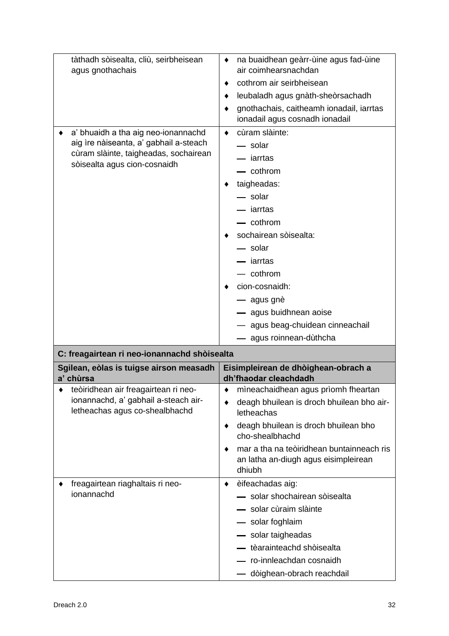| tàthadh sòisealta, cliù, seirbheisean                                                                                                                  | na buaidhean geàrr-ùine agus fad-ùine                                                       |  |  |
|--------------------------------------------------------------------------------------------------------------------------------------------------------|---------------------------------------------------------------------------------------------|--|--|
| agus gnothachais                                                                                                                                       | air coimhearsnachdan                                                                        |  |  |
|                                                                                                                                                        | cothrom air seirbheisean<br>٠                                                               |  |  |
|                                                                                                                                                        | leubaladh agus gnàth-sheòrsachadh                                                           |  |  |
|                                                                                                                                                        | gnothachais, caitheamh ionadail, iarrtas<br>ionadail agus cosnadh ionadail                  |  |  |
| a' bhuaidh a tha aig neo-ionannachd<br>aig ìre nàiseanta, a' gabhail a-steach<br>cùram slàinte, taigheadas, sochairean<br>sòisealta agus cion-cosnaidh | cùram slàinte:<br>٠                                                                         |  |  |
|                                                                                                                                                        | - solar                                                                                     |  |  |
|                                                                                                                                                        | — iarrtas                                                                                   |  |  |
|                                                                                                                                                        | - cothrom                                                                                   |  |  |
|                                                                                                                                                        | taigheadas:                                                                                 |  |  |
|                                                                                                                                                        | — solar                                                                                     |  |  |
|                                                                                                                                                        | - iarrtas                                                                                   |  |  |
|                                                                                                                                                        | cothrom                                                                                     |  |  |
|                                                                                                                                                        | sochairean sòisealta:                                                                       |  |  |
|                                                                                                                                                        | — solar                                                                                     |  |  |
|                                                                                                                                                        | iarrtas                                                                                     |  |  |
|                                                                                                                                                        | cothrom                                                                                     |  |  |
|                                                                                                                                                        | cion-cosnaidh:                                                                              |  |  |
|                                                                                                                                                        | — agus gnè                                                                                  |  |  |
|                                                                                                                                                        | - agus buidhnean aoise                                                                      |  |  |
|                                                                                                                                                        | — agus beag-chuidean cinneachail                                                            |  |  |
|                                                                                                                                                        |                                                                                             |  |  |
|                                                                                                                                                        | agus roinnean-dùthcha                                                                       |  |  |
| C: freagairtean ri neo-ionannachd shòisealta                                                                                                           |                                                                                             |  |  |
| Sgilean, eòlas is tuigse airson measadh<br>a' chùrsa                                                                                                   | Eisimpleirean de dhòighean-obrach a<br>dh'fhaodar cleachdadh                                |  |  |
| teòiridhean air freagairtean ri neo-                                                                                                                   | mineachaidhean agus prìomh fheartan<br>٠                                                    |  |  |
| ionannachd, a' gabhail a-steach air-<br>letheachas agus co-shealbhachd                                                                                 | deagh bhuilean is droch bhuilean bho air-<br>letheachas                                     |  |  |
|                                                                                                                                                        | deagh bhuilean is droch bhuilean bho<br>cho-shealbhachd                                     |  |  |
|                                                                                                                                                        | mar a tha na teòiridhean buntainneach ris<br>an latha an-diugh agus eisimpleirean<br>dhiubh |  |  |
| freagairtean riaghaltais ri neo-                                                                                                                       | èifeachadas aig:<br>٠                                                                       |  |  |
| ionannachd                                                                                                                                             | - solar shochairean sòisealta                                                               |  |  |
|                                                                                                                                                        | - solar cùraim slàinte                                                                      |  |  |
|                                                                                                                                                        | - solar foghlaim                                                                            |  |  |
|                                                                                                                                                        | solar taigheadas                                                                            |  |  |
|                                                                                                                                                        | — tèarainteachd shòisealta                                                                  |  |  |
|                                                                                                                                                        | ro-innleachdan cosnaidh                                                                     |  |  |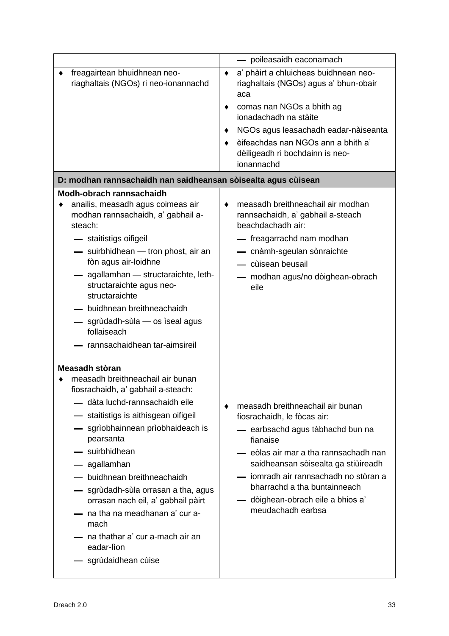|                                                                                                                                                                                                                                                                                                                                                                                                                                                                                      | - poileasaidh eaconamach                                                                                                                                                                                                                                                                                                              |  |  |
|--------------------------------------------------------------------------------------------------------------------------------------------------------------------------------------------------------------------------------------------------------------------------------------------------------------------------------------------------------------------------------------------------------------------------------------------------------------------------------------|---------------------------------------------------------------------------------------------------------------------------------------------------------------------------------------------------------------------------------------------------------------------------------------------------------------------------------------|--|--|
| freagairtean bhuidhnean neo-<br>riaghaltais (NGOs) ri neo-ionannachd                                                                                                                                                                                                                                                                                                                                                                                                                 | a' phàirt a chluicheas buidhnean neo-<br>٠<br>riaghaltais (NGOs) agus a' bhun-obair<br>aca                                                                                                                                                                                                                                            |  |  |
|                                                                                                                                                                                                                                                                                                                                                                                                                                                                                      | comas nan NGOs a bhith ag<br>ionadachadh na stàite                                                                                                                                                                                                                                                                                    |  |  |
|                                                                                                                                                                                                                                                                                                                                                                                                                                                                                      | NGOs agus leasachadh eadar-nàiseanta<br>٠<br>èifeachdas nan NGOs ann a bhith a'<br>dèiligeadh ri bochdainn is neo-<br>ionannachd                                                                                                                                                                                                      |  |  |
| D: modhan rannsachaidh nan saidheansan sòisealta agus cùisean                                                                                                                                                                                                                                                                                                                                                                                                                        |                                                                                                                                                                                                                                                                                                                                       |  |  |
| Modh-obrach rannsachaidh<br>anailis, measadh agus coimeas air<br>modhan rannsachaidh, a' gabhail a-<br>steach:<br>- staitistigs oifigeil<br>- suirbhidhean - tron phost, air an<br>fòn agus air-loidhne<br>- agallamhan - structaraichte, leth-<br>structaraichte agus neo-<br>structaraichte<br>- buidhnean breithneachaidh<br>- sgrùdadh-sùla - os ìseal agus<br>follaiseach<br>rannsachaidhean tar-aimsireil                                                                      | measadh breithneachail air modhan<br>٠<br>rannsachaidh, a' gabhail a-steach<br>beachdachadh air:<br>— freagarrachd nam modhan<br>- cnàmh-sgeulan sònraichte<br>cùisean beusail<br>modhan agus/no dòighean-obrach<br>eile                                                                                                              |  |  |
| Measadh stòran<br>measadh breithneachail air bunan<br>fiosrachaidh, a' gabhail a-steach:<br>— dàta luchd-rannsachaidh eile<br>- staitistigs is aithisgean oifigeil<br>- sgrìobhainnean prìobhaideach is<br>pearsanta<br>- suirbhidhean<br>- agallamhan<br>- buidhnean breithneachaidh<br>sgrùdadh-sùla orrasan a tha, agus<br>orrasan nach eil, a' gabhail pàirt<br>- na tha na meadhanan a' cur a-<br>mach<br>— na thathar a' cur a-mach air an<br>eadar-lìon<br>sgrùdaidhean cùise | measadh breithneachail air bunan<br>٠<br>fiosrachaidh, le fòcas air:<br>— earbsachd agus tàbhachd bun na<br>fianaise<br>— eòlas air mar a tha rannsachadh nan<br>saidheansan sòisealta ga stiùireadh<br>jomradh air rannsachadh no stòran a<br>bharrachd a tha buntainneach<br>— dòighean-obrach eile a bhios a'<br>meudachadh earbsa |  |  |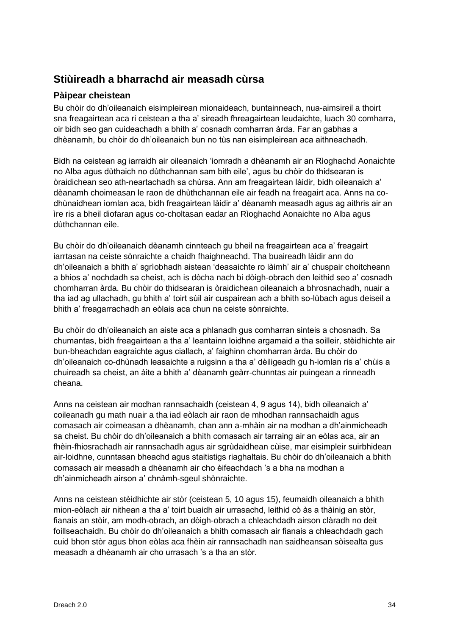## **Stiùireadh a bharrachd air measadh cùrsa**

## **Pàipear cheistean**

Bu chòir do dh'oileanaich eisimpleirean mionaideach, buntainneach, nua-aimsireil a thoirt sna freagairtean aca ri ceistean a tha a' sireadh fhreagairtean leudaichte, luach 30 comharra, oir bidh seo gan cuideachadh a bhith a' cosnadh comharran àrda. Far an gabhas a dhèanamh, bu chòir do dh'oileanaich bun no tùs nan eisimpleirean aca aithneachadh.

Bidh na ceistean ag iarraidh air oileanaich 'iomradh a dhèanamh air an Rìoghachd Aonaichte no Alba agus dùthaich no dùthchannan sam bith eile', agus bu chòir do thidsearan is òraidichean seo ath-neartachadh sa chùrsa. Ann am freagairtean làidir, bidh oileanaich a' dèanamh choimeasan le raon de dhùthchannan eile air feadh na freagairt aca. Anns na codhùnaidhean iomlan aca, bidh freagairtean làidir a' dèanamh measadh agus ag aithris air an ìre ris a bheil diofaran agus co-choltasan eadar an Rìoghachd Aonaichte no Alba agus dùthchannan eile.

Bu chòir do dh'oileanaich dèanamh cinnteach gu bheil na freagairtean aca a' freagairt iarrtasan na ceiste sònraichte a chaidh fhaighneachd. Tha buaireadh làidir ann do dh'oileanaich a bhith a' sgrìobhadh aistean 'deasaichte ro làimh' air a' chuspair choitcheann a bhios a' nochdadh sa cheist, ach is dòcha nach bi dòigh-obrach den leithid seo a' cosnadh chomharran àrda. Bu chòir do thidsearan is òraidichean oileanaich a bhrosnachadh, nuair a tha iad ag ullachadh, gu bhith a' toirt sùil air cuspairean ach a bhith so-lùbach agus deiseil a bhith a' freagarrachadh an eòlais aca chun na ceiste sònraichte.

Bu chòir do dh'oileanaich an aiste aca a phlanadh gus comharran sinteis a chosnadh. Sa chumantas, bidh freagairtean a tha a' leantainn loidhne argamaid a tha soilleir, stèidhichte air bun-bheachdan eagraichte agus ciallach, a' faighinn chomharran àrda. Bu chòir do dh'oileanaich co-dhùnadh leasaichte a ruigsinn a tha a' dèiligeadh gu h-iomlan ris a' chùis a chuireadh sa cheist, an àite a bhith a' dèanamh geàrr-chunntas air puingean a rinneadh cheana.

Anns na ceistean air modhan rannsachaidh (ceistean 4, 9 agus 14), bidh oileanaich a' coileanadh gu math nuair a tha iad eòlach air raon de mhodhan rannsachaidh agus comasach air coimeasan a dhèanamh, chan ann a-mhàin air na modhan a dh'ainmicheadh sa cheist. Bu chòir do dh'oileanaich a bhith comasach air tarraing air an eòlas aca, air an fhèin-fhiosrachadh air rannsachadh agus air sgrùdaidhean cùise, mar eisimpleir suirbhidean air-loidhne, cunntasan bheachd agus staitistigs riaghaltais. Bu chòir do dh'oileanaich a bhith comasach air measadh a dhèanamh air cho èifeachdach 's a bha na modhan a dh'ainmicheadh airson a' chnàmh-sgeul shònraichte.

Anns na ceistean stèidhichte air stòr (ceistean 5, 10 agus 15), feumaidh oileanaich a bhith mion-eòlach air nithean a tha a' toirt buaidh air urrasachd, leithid cò às a thàinig an stòr, fianais an stòir, am modh-obrach, an dòigh-obrach a chleachdadh airson clàradh no deit foillseachaidh. Bu chòir do dh'oileanaich a bhith comasach air fianais a chleachdadh gach cuid bhon stòr agus bhon eòlas aca fhèin air rannsachadh nan saidheansan sòisealta gus measadh a dhèanamh air cho urrasach 's a tha an stòr.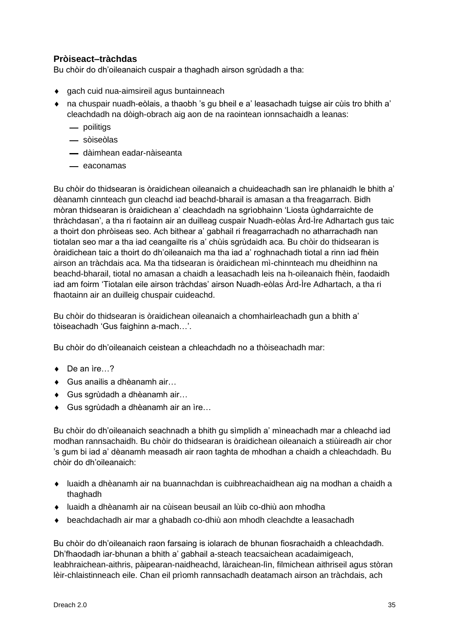## **Pròiseact–tràchdas**

Bu chòir do dh'oileanaich cuspair a thaghadh airson sgrùdadh a tha:

- ◆ gach cuid nua-aimsireil agus buntainneach
- na chuspair nuadh-eòlais, a thaobh 's gu bheil e a' leasachadh tuigse air cùis tro bhith a' cleachdadh na dòigh-obrach aig aon de na raointean ionnsachaidh a leanas:
	- poilitigs
	- sòiseòlas
	- dàimhean eadar-nàiseanta
	- $-$  eaconamas

Bu chòir do thidsearan is òraidichean oileanaich a chuideachadh san ìre phlanaidh le bhith a' dèanamh cinnteach gun cleachd iad beachd-bharail is amasan a tha freagarrach. Bidh mòran thidsearan is òraidichean a' cleachdadh na sgrìobhainn 'Liosta ùghdarraichte de thràchdasan', a tha ri faotainn air an duilleag cuspair Nuadh-eòlas Àrd-Ìre Adhartach gus taic a thoirt don phròiseas seo. Ach bithear a' gabhail ri freagarrachadh no atharrachadh nan tiotalan seo mar a tha iad ceangailte ris a' chùis sgrùdaidh aca. Bu chòir do thidsearan is òraidichean taic a thoirt do dh'oileanaich ma tha iad a' roghnachadh tiotal a rinn iad fhèin airson an tràchdais aca. Ma tha tidsearan is òraidichean mì-chinnteach mu dheidhinn na beachd-bharail, tiotal no amasan a chaidh a leasachadh leis na h-oileanaich fhèin, faodaidh iad am foirm 'Tiotalan eile airson tràchdas' airson Nuadh-eòlas Àrd-Ìre Adhartach, a tha ri fhaotainn air an duilleig chuspair cuideachd.

Bu chòir do thidsearan is òraidichean oileanaich a chomhairleachadh gun a bhith a' tòiseachadh 'Gus faighinn a-mach…'.

Bu chòir do dh'oileanaich ceistean a chleachdadh no a thòiseachadh mar:

- ◆ De an ìre…?
- ◆ Gus anailis a dhèanamh air...
- Gus sgrùdadh a dhèanamh air…
- ◆ Gus sgrùdadh a dhèanamh air an ìre...

Bu chòir do dh'oileanaich seachnadh a bhith gu sìmplidh a' mìneachadh mar a chleachd iad modhan rannsachaidh. Bu chòir do thidsearan is òraidichean oileanaich a stiùireadh air chor 's gum bi iad a' dèanamh measadh air raon taghta de mhodhan a chaidh a chleachdadh. Bu chòir do dh'oileanaich:

- luaidh a dhèanamh air na buannachdan is cuibhreachaidhean aig na modhan a chaidh a thaghadh
- luaidh a dhèanamh air na cùisean beusail an lùib co-dhiù aon mhodha
- beachdachadh air mar a ghabadh co-dhiù aon mhodh cleachdte a leasachadh

Bu chòir do dh'oileanaich raon farsaing is iolarach de bhunan fiosrachaidh a chleachdadh. Dh'fhaodadh iar-bhunan a bhith a' gabhail a-steach teacsaichean acadaimigeach, leabhraichean-aithris, pàipearan-naidheachd, làraichean-lìn, filmichean aithriseil agus stòran lèir-chlaistinneach eile. Chan eil prìomh rannsachadh deatamach airson an tràchdais, ach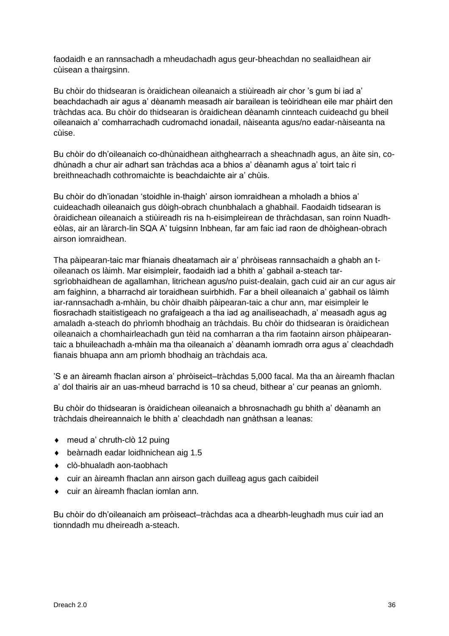faodaidh e an rannsachadh a mheudachadh agus geur-bheachdan no seallaidhean air cùisean a thairgsinn.

Bu chòir do thidsearan is òraidichean oileanaich a stiùireadh air chor 's gum bi iad a' beachdachadh air agus a' dèanamh measadh air barailean is teòiridhean eile mar phàirt den tràchdas aca. Bu chòir do thidsearan is òraidichean dèanamh cinnteach cuideachd gu bheil oileanaich a' comharrachadh cudromachd ionadail, nàiseanta agus/no eadar-nàiseanta na cùise.

Bu chòir do dh'oileanaich co-dhùnaidhean aithghearrach a sheachnadh agus, an àite sin, codhùnadh a chur air adhart san tràchdas aca a bhios a' dèanamh agus a' toirt taic ri breithneachadh cothromaichte is beachdaichte air a' chùis.

Bu chòir do dh'ionadan 'stoidhle in-thaigh' airson iomraidhean a mholadh a bhios a' cuideachadh oileanaich gus dòigh-obrach chunbhalach a ghabhail. Faodaidh tidsearan is òraidichean oileanaich a stiùireadh ris na h-eisimpleirean de thràchdasan, san roinn Nuadheòlas, air an làrarch-lin SQA A' tuigsinn Inbhean, far am faic iad raon de dhòighean-obrach airson iomraidhean.

Tha pàipearan-taic mar fhianais dheatamach air a' phròiseas rannsachaidh a ghabh an toileanach os làimh. Mar eisimpleir, faodaidh iad a bhith a' gabhail a-steach tarsgrìobhaidhean de agallamhan, litrichean agus/no puist-dealain, gach cuid air an cur agus air am faighinn, a bharrachd air toraidhean suirbhidh. Far a bheil oileanaich a' gabhail os làimh iar-rannsachadh a-mhàin, bu chòir dhaibh pàipearan-taic a chur ann, mar eisimpleir le fiosrachadh staitistigeach no grafaigeach a tha iad ag anailiseachadh, a' measadh agus ag amaladh a-steach do phrìomh bhodhaig an tràchdais. Bu chòir do thidsearan is òraidichean oileanaich a chomhairleachadh gun tèid na comharran a tha rim faotainn airson phàipearantaic a bhuileachadh a-mhàin ma tha oileanaich a' dèanamh iomradh orra agus a' cleachdadh fianais bhuapa ann am prìomh bhodhaig an tràchdais aca.

'S e an àireamh fhaclan airson a' phròiseict–tràchdas 5,000 facal. Ma tha an àireamh fhaclan a' dol thairis air an uas-mheud barrachd is 10 sa cheud, bithear a' cur peanas an gnìomh.

Bu chòir do thidsearan is òraidichean oileanaich a bhrosnachadh gu bhith a' dèanamh an tràchdais dheireannaich le bhith a' cleachdadh nan gnàthsan a leanas:

- ◆ meud a' chruth-clò 12 puing
- beàrnadh eadar loidhnichean aig 1.5
- clò-bhualadh aon-taobhach
- cuir an àireamh fhaclan ann airson gach duilleag agus gach caibideil
- cuir an àireamh fhaclan iomlan ann.

Bu chòir do dh'oileanaich am pròiseact–tràchdas aca a dhearbh-leughadh mus cuir iad an tionndadh mu dheireadh a-steach.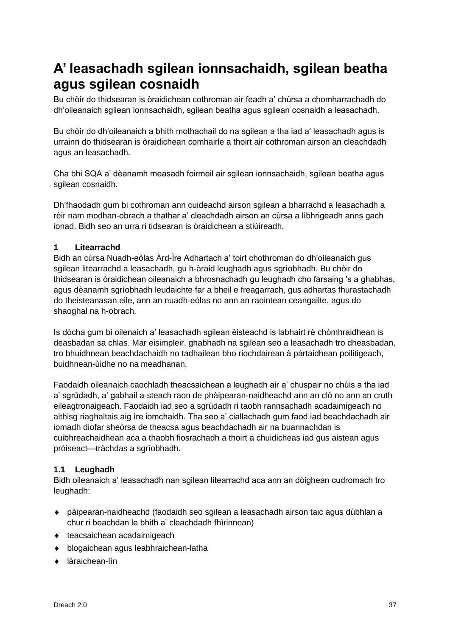## <span id="page-38-0"></span>**A' leasachadh sgilean ionnsachaidh, sgilean beatha agus sgilean cosnaidh**

Bu chòir do thidsearan is òraidichean cothroman air feadh a' chùrsa a chomharrachadh do dh'oileanaich sgilean ionnsachaidh, sgilean beatha agus sgilean cosnaidh a leasachadh.

Bu chòir do dh'oileanaich a bhith mothachail do na sgilean a tha iad a' leasachadh agus is urrainn do thidsearan is òraidichean comhairle a thoirt air cothroman airson an cleachdadh agus an leasachadh.

Cha bhi SQA a' dèanamh measadh foirmeil air sgilean ionnsachaidh, sgilean beatha agus sgilean cosnaidh.

Dh'fhaodadh gum bi cothroman ann cuideachd airson sgilean a bharrachd a leasachadh a rèir nam modhan-obrach a thathar a' cleachdadh airson an cùrsa a lìbhrigeadh anns gach ionad. Bidh seo an urra ri tidsearan is òraidichean a stiùireadh.

## **1 Litearrachd**

Bidh an cùrsa Nuadh-eòlas Àrd-Ìre Adhartach a' toirt chothroman do dh'oileanaich gus sgilean litearrachd a leasachadh, gu h-àraid leughadh agus sgrìobhadh. Bu chòir do thidsearan is òraidichean oileanaich a bhrosnachadh gu leughadh cho farsaing 's a ghabhas, agus dèanamh sgrìobhadh leudaichte far a bheil e freagarrach, gus adhartas fhurastachadh do theisteanasan eile, ann an nuadh-eòlas no ann an raointean ceangailte, agus do shaoghal na h-obrach.

Is dòcha gum bi oilenaich a' leasachadh sgilean èisteachd is labhairt rè chòmhraidhean is deasbadan sa chlas. Mar eisimpleir, ghabhadh na sgilean seo a leasachadh tro dheasbadan, tro bhuidhnean beachdachaidh no tadhailean bho riochdairean à pàrtaidhean poilitigeach, buidhnean-ùidhe no na meadhanan.

Faodaidh oileanaich caochladh theacsaichean a leughadh air a' chuspair no chùis a tha iad a' sgrùdadh, a' gabhail a-steach raon de phàipearan-naidheachd ann an clò no ann an cruth eileagtronaigeach. Faodaidh iad seo a sgrùdadh ri taobh rannsachadh acadaimigeach no aithisg riaghaltais aig ìre iomchaidh. Tha seo a' ciallachadh gum faod iad beachdachadh air iomadh diofar sheòrsa de theacsa agus beachdachadh air na buannachdan is cuibhreachaidhean aca a thaobh fiosrachadh a thoirt a chuidicheas iad gus aistean agus pròiseact—tràchdas a sgrìobhadh.

## **1.1 Leughadh**

Bidh oileanaich a' leasachadh nan sgilean litearrachd aca ann an dòighean cudromach tro leughadh:

- pàipearan-naidheachd (faodaidh seo sgilean a leasachadh airson taic agus dùbhlan a chur ri beachdan le bhith a' cleachdadh fhìrinnean)
- ◆ teacsaichean acadaimigeach
- blogaichean agus leabhraichean-latha
- làraichean-lìn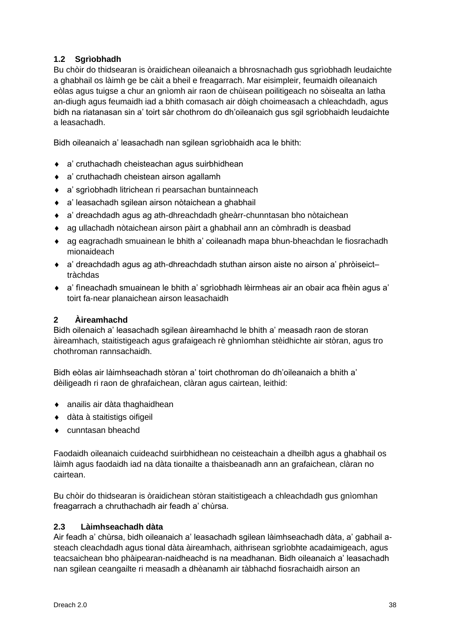## **1.2 Sgrìobhadh**

Bu chòir do thidsearan is òraidichean oileanaich a bhrosnachadh gus sgrìobhadh leudaichte a ghabhail os làimh ge be càit a bheil e freagarrach. Mar eisimpleir, feumaidh oileanaich eòlas agus tuigse a chur an gnìomh air raon de chùisean poilitigeach no sòisealta an latha an-diugh agus feumaidh iad a bhith comasach air dòigh choimeasach a chleachdadh, agus bidh na riatanasan sin a' toirt sàr chothrom do dh'oileanaich gus sgil sgrìobhaidh leudaichte a leasachadh.

Bidh oileanaich a' leasachadh nan sgilean sgrìobhaidh aca le bhith:

- a' cruthachadh cheisteachan agus suirbhidhean
- a' cruthachadh cheistean airson agallamh
- a' sgrìobhadh litrichean ri pearsachan buntainneach
- a' leasachadh sgilean airson nòtaichean a ghabhail
- a' dreachdadh agus ag ath-dhreachdadh gheàrr-chunntasan bho nòtaichean
- ag ullachadh nòtaichean airson pàirt a ghabhail ann an còmhradh is deasbad
- ag eagrachadh smuainean le bhith a' coileanadh mapa bhun-bheachdan le fiosrachadh mionaideach
- a' dreachdadh agus ag ath-dhreachdadh stuthan airson aiste no airson a' phròiseict– tràchdas
- a' fìneachadh smuainean le bhith a' sgrìobhadh lèirmheas air an obair aca fhèin agus a' toirt fa-near planaichean airson leasachaidh

## **2 Àireamhachd**

Bidh oilenaich a' leasachadh sgilean àireamhachd le bhith a' measadh raon de storan àireamhach, staitistigeach agus grafaigeach rè ghnìomhan stèidhichte air stòran, agus tro chothroman rannsachaidh.

Bidh eòlas air làimhseachadh stòran a' toirt chothroman do dh'oileanaich a bhith a' dèiligeadh ri raon de ghrafaichean, clàran agus cairtean, leithid:

- anailis air dàta thaghaidhean
- dàta à staitistigs oifigeil
- ◆ cunntasan bheachd

Faodaidh oileanaich cuideachd suirbhidhean no ceisteachain a dheilbh agus a ghabhail os làimh agus faodaidh iad na dàta tionailte a thaisbeanadh ann an grafaichean, clàran no cairtean.

Bu chòir do thidsearan is òraidichean stòran staitistigeach a chleachdadh gus gnìomhan freagarrach a chruthachadh air feadh a' chùrsa.

### **2.3 Làimhseachadh dàta**

Air feadh a' chùrsa, bidh oileanaich a' leasachadh sgilean làimhseachadh dàta, a' gabhail asteach cleachdadh agus tional dàta àireamhach, aithrisean sgrìobhte acadaimigeach, agus teacsaichean bho phàipearan-naidheachd is na meadhanan. Bidh oileanaich a' leasachadh nan sgilean ceangailte ri measadh a dhèanamh air tàbhachd fiosrachaidh airson an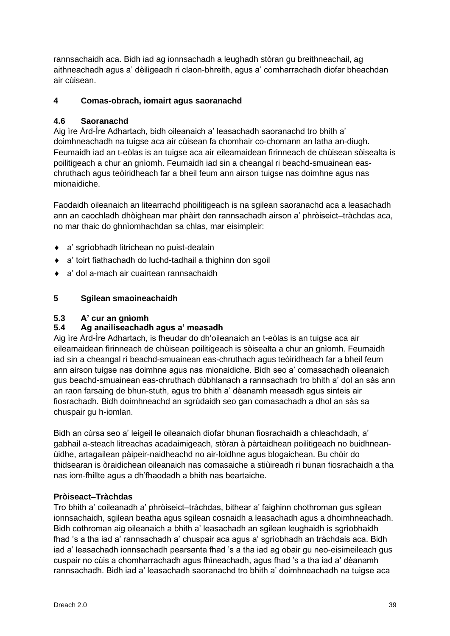rannsachaidh aca. Bidh iad ag ionnsachadh a leughadh stòran gu breithneachail, ag aithneachadh agus a' dèiligeadh ri claon-bhreith, agus a' comharrachadh diofar bheachdan air cùisean.

## **4 Comas-obrach, iomairt agus saoranachd**

## **4.6 Saoranachd**

Aig ìre Àrd-Ìre Adhartach, bidh oileanaich a' leasachadh saoranachd tro bhith a' doimhneachadh na tuigse aca air cùisean fa chomhair co-chomann an latha an-diugh. Feumaidh iad an t-eòlas is an tuigse aca air eileamaidean fìrinneach de chùisean sòisealta is poilitigeach a chur an gnìomh. Feumaidh iad sin a cheangal ri beachd-smuainean easchruthach agus teòiridheach far a bheil feum ann airson tuigse nas doimhne agus nas mionaidiche.

Faodaidh oileanaich an litearrachd phoilitigeach is na sgilean saoranachd aca a leasachadh ann an caochladh dhòighean mar phàirt den rannsachadh airson a' phròiseict–tràchdas aca, no mar thaic do ghnìomhachdan sa chlas, mar eisimpleir:

- a' sgrìobhadh litrichean no puist-dealain
- a' toirt fiathachadh do luchd-tadhail a thighinn don sgoil
- a' dol a-mach air cuairtean rannsachaidh

## **5 Sgilean smaoineachaidh**

## **5.3 A' cur an gnìomh**

## **5.4 Ag anailiseachadh agus a' measadh**

Aig ìre Àrd-Ìre Adhartach, is fheudar do dh'oileanaich an t-eòlas is an tuigse aca air eileamaidean fìrinneach de chùisean poilitigeach is sòisealta a chur an gnìomh. Feumaidh iad sin a cheangal ri beachd-smuainean eas-chruthach agus teòiridheach far a bheil feum ann airson tuigse nas doimhne agus nas mionaidiche. Bidh seo a' comasachadh oileanaich gus beachd-smuainean eas-chruthach dùbhlanach a rannsachadh tro bhith a' dol an sàs ann an raon farsaing de bhun-stuth, agus tro bhith a' dèanamh measadh agus sinteis air fiosrachadh. Bidh doimhneachd an sgrùdaidh seo gan comasachadh a dhol an sàs sa chuspair gu h-iomlan.

Bidh an cùrsa seo a' leigeil le oileanaich diofar bhunan fiosrachaidh a chleachdadh, a' gabhail a-steach litreachas acadaimigeach, stòran à pàrtaidhean poilitigeach no buidhneanùidhe, artagailean pàipeir-naidheachd no air-loidhne agus blogaichean. Bu chòir do thidsearan is òraidichean oileanaich nas comasaiche a stiùireadh ri bunan fiosrachaidh a tha nas iom-fhillte agus a dh'fhaodadh a bhith nas beartaiche.

## **Pròiseact–Tràchdas**

Tro bhith a' coileanadh a' phròiseict–tràchdas, bithear a' faighinn chothroman gus sgilean ionnsachaidh, sgilean beatha agus sgilean cosnaidh a leasachadh agus a dhoimhneachadh. Bidh cothroman aig oileanaich a bhith a' leasachadh an sgilean leughaidh is sgrìobhaidh fhad 's a tha iad a' rannsachadh a' chuspair aca agus a' sgrìobhadh an tràchdais aca. Bidh iad a' leasachadh ionnsachadh pearsanta fhad 's a tha iad ag obair gu neo-eisimeileach gus cuspair no cùis a chomharrachadh agus fhìneachadh, agus fhad 's a tha iad a' dèanamh rannsachadh. Bidh iad a' leasachadh saoranachd tro bhith a' doimhneachadh na tuigse aca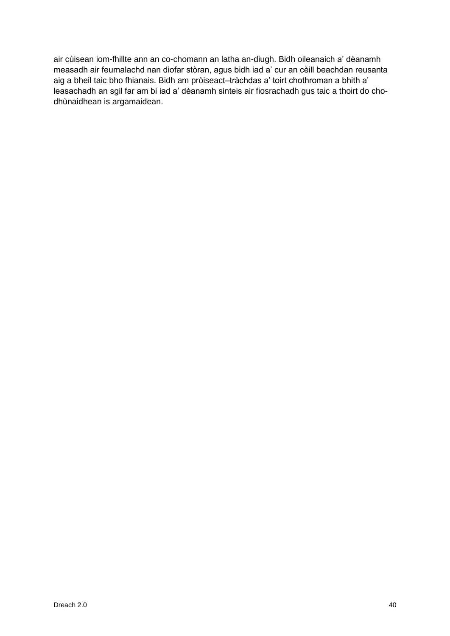air cùisean iom-fhillte ann an co-chomann an latha an-diugh. Bidh oileanaich a' dèanamh measadh air feumalachd nan diofar stòran, agus bidh iad a' cur an cèill beachdan reusanta aig a bheil taic bho fhianais. Bidh am pròiseact–tràchdas a' toirt chothroman a bhith a' leasachadh an sgil far am bi iad a' dèanamh sinteis air fiosrachadh gus taic a thoirt do chodhùnaidhean is argamaidean.